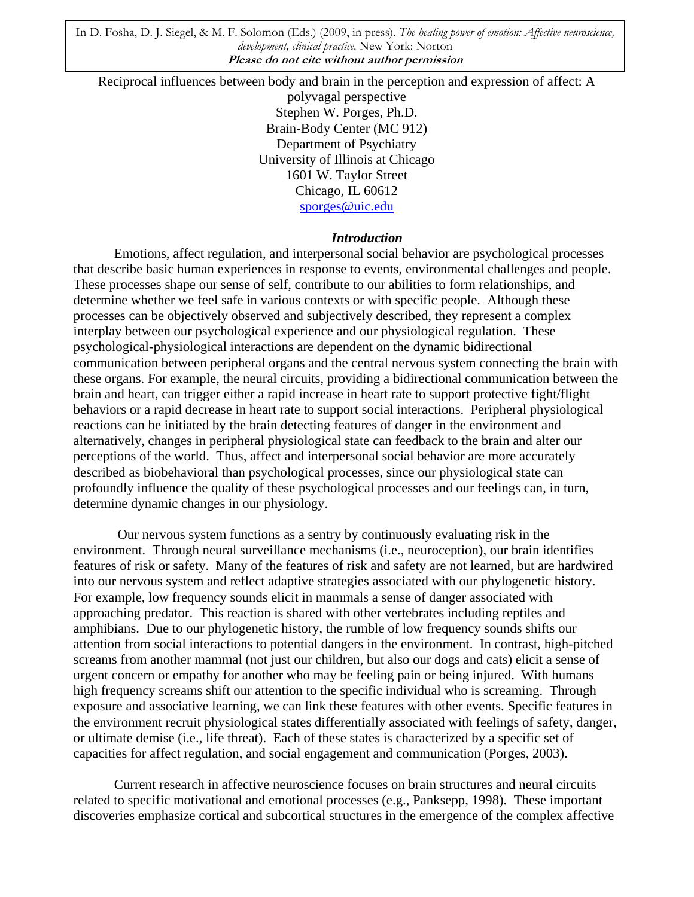In D. Fosha, D. J. Siegel, & M. F. Solomon (Eds.) (2009, in press). *The healing power of emotion: Affective neuroscience, development, clinical practice*. New York: Norton **Please do not cite without author permission**

Reciprocal influences between body and brain in the perception and expression of affect: A polyvagal perspective Stephen W. Porges, Ph.D. Brain-Body Center (MC 912) Department of Psychiatry University of Illinois at Chicago 1601 W. Taylor Street Chicago, IL 60612 [sporges@uic.edu](mailto:sporges@uic.edu)

#### *Introduction*

Emotions, affect regulation, and interpersonal social behavior are psychological processes that describe basic human experiences in response to events, environmental challenges and people. These processes shape our sense of self, contribute to our abilities to form relationships, and determine whether we feel safe in various contexts or with specific people. Although these processes can be objectively observed and subjectively described, they represent a complex interplay between our psychological experience and our physiological regulation. These psychological-physiological interactions are dependent on the dynamic bidirectional communication between peripheral organs and the central nervous system connecting the brain with these organs. For example, the neural circuits, providing a bidirectional communication between the brain and heart, can trigger either a rapid increase in heart rate to support protective fight/flight behaviors or a rapid decrease in heart rate to support social interactions. Peripheral physiological reactions can be initiated by the brain detecting features of danger in the environment and alternatively, changes in peripheral physiological state can feedback to the brain and alter our perceptions of the world. Thus, affect and interpersonal social behavior are more accurately described as biobehavioral than psychological processes, since our physiological state can profoundly influence the quality of these psychological processes and our feelings can, in turn, determine dynamic changes in our physiology.

 Our nervous system functions as a sentry by continuously evaluating risk in the environment. Through neural surveillance mechanisms (i.e., neuroception), our brain identifies features of risk or safety. Many of the features of risk and safety are not learned, but are hardwired into our nervous system and reflect adaptive strategies associated with our phylogenetic history. For example, low frequency sounds elicit in mammals a sense of danger associated with approaching predator. This reaction is shared with other vertebrates including reptiles and amphibians. Due to our phylogenetic history, the rumble of low frequency sounds shifts our attention from social interactions to potential dangers in the environment. In contrast, high-pitched screams from another mammal (not just our children, but also our dogs and cats) elicit a sense of urgent concern or empathy for another who may be feeling pain or being injured. With humans high frequency screams shift our attention to the specific individual who is screaming. Through exposure and associative learning, we can link these features with other events. Specific features in the environment recruit physiological states differentially associated with feelings of safety, danger, or ultimate demise (i.e., life threat). Each of these states is characterized by a specific set of capacities for affect regulation, and social engagement and communication (Porges, 2003).

Current research in affective neuroscience focuses on brain structures and neural circuits related to specific motivational and emotional processes (e.g., Panksepp, 1998). These important discoveries emphasize cortical and subcortical structures in the emergence of the complex affective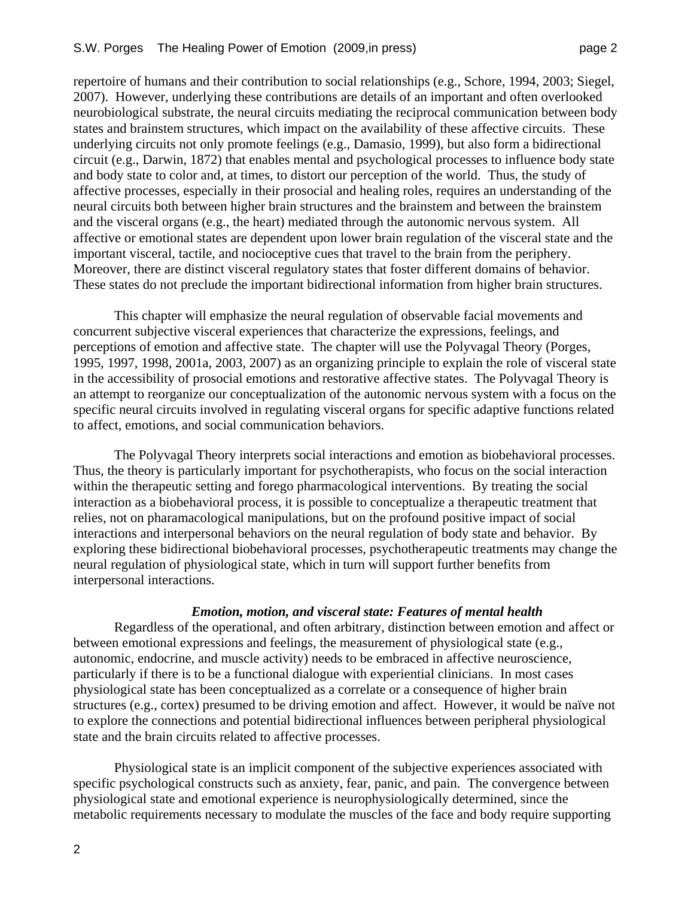repertoire of humans and their contribution to social relationships (e.g., Schore, 1994, 2003; Siegel, 2007). However, underlying these contributions are details of an important and often overlooked neurobiological substrate, the neural circuits mediating the reciprocal communication between body states and brainstem structures, which impact on the availability of these affective circuits. These underlying circuits not only promote feelings (e.g., Damasio, 1999), but also form a bidirectional circuit (e.g., Darwin, 1872) that enables mental and psychological processes to influence body state and body state to color and, at times, to distort our perception of the world. Thus, the study of affective processes, especially in their prosocial and healing roles, requires an understanding of the neural circuits both between higher brain structures and the brainstem and between the brainstem and the visceral organs (e.g., the heart) mediated through the autonomic nervous system. All affective or emotional states are dependent upon lower brain regulation of the visceral state and the important visceral, tactile, and nocioceptive cues that travel to the brain from the periphery. Moreover, there are distinct visceral regulatory states that foster different domains of behavior. These states do not preclude the important bidirectional information from higher brain structures.

This chapter will emphasize the neural regulation of observable facial movements and concurrent subjective visceral experiences that characterize the expressions, feelings, and perceptions of emotion and affective state. The chapter will use the Polyvagal Theory (Porges, 1995, 1997, 1998, 2001a, 2003, 2007) as an organizing principle to explain the role of visceral state in the accessibility of prosocial emotions and restorative affective states. The Polyvagal Theory is an attempt to reorganize our conceptualization of the autonomic nervous system with a focus on the specific neural circuits involved in regulating visceral organs for specific adaptive functions related to affect, emotions, and social communication behaviors.

The Polyvagal Theory interprets social interactions and emotion as biobehavioral processes. Thus, the theory is particularly important for psychotherapists, who focus on the social interaction within the therapeutic setting and forego pharmacological interventions. By treating the social interaction as a biobehavioral process, it is possible to conceptualize a therapeutic treatment that relies, not on pharamacological manipulations, but on the profound positive impact of social interactions and interpersonal behaviors on the neural regulation of body state and behavior. By exploring these bidirectional biobehavioral processes, psychotherapeutic treatments may change the neural regulation of physiological state, which in turn will support further benefits from interpersonal interactions.

### *Emotion, motion, and visceral state: Features of mental health*

Regardless of the operational, and often arbitrary, distinction between emotion and affect or between emotional expressions and feelings, the measurement of physiological state (e.g., autonomic, endocrine, and muscle activity) needs to be embraced in affective neuroscience, particularly if there is to be a functional dialogue with experiential clinicians. In most cases physiological state has been conceptualized as a correlate or a consequence of higher brain structures (e.g., cortex) presumed to be driving emotion and affect. However, it would be naïve not to explore the connections and potential bidirectional influences between peripheral physiological state and the brain circuits related to affective processes.

Physiological state is an implicit component of the subjective experiences associated with specific psychological constructs such as anxiety, fear, panic, and pain. The convergence between physiological state and emotional experience is neurophysiologically determined, since the metabolic requirements necessary to modulate the muscles of the face and body require supporting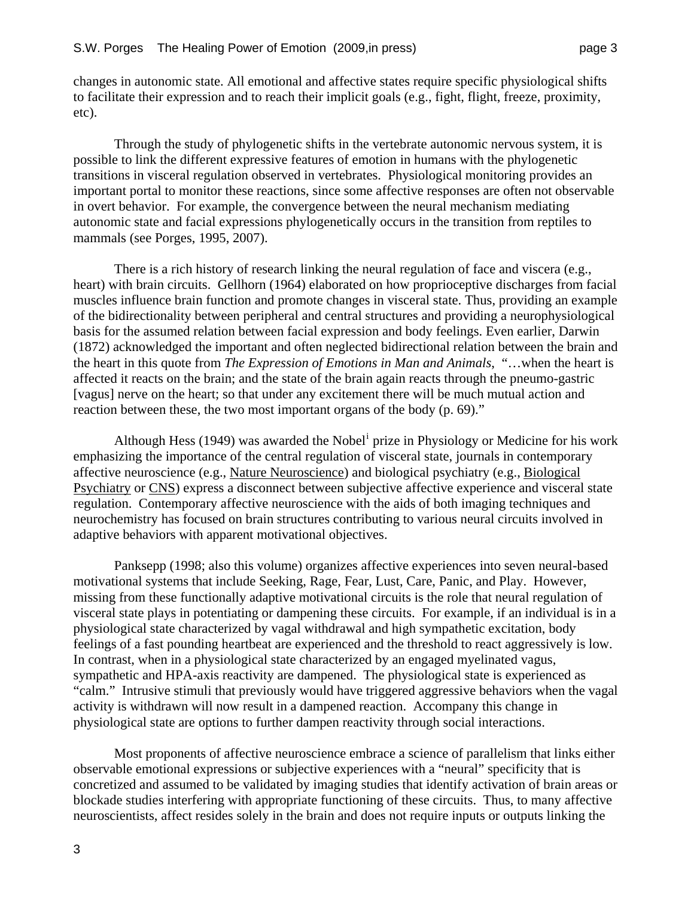changes in autonomic state. All emotional and affective states require specific physiological shifts to facilitate their expression and to reach their implicit goals (e.g., fight, flight, freeze, proximity, etc).

Through the study of phylogenetic shifts in the vertebrate autonomic nervous system, it is possible to link the different expressive features of emotion in humans with the phylogenetic transitions in visceral regulation observed in vertebrates. Physiological monitoring provides an important portal to monitor these reactions, since some affective responses are often not observable in overt behavior. For example, the convergence between the neural mechanism mediating autonomic state and facial expressions phylogenetically occurs in the transition from reptiles to mammals (see Porges, 1995, 2007).

There is a rich history of research linking the neural regulation of face and viscera (e.g., heart) with brain circuits. Gellhorn (1964) elaborated on how proprioceptive discharges from facial muscles influence brain function and promote changes in visceral state. Thus, providing an example of the bidirectionality between peripheral and central structures and providing a neurophysiological basis for the assumed relation between facial expression and body feelings. Even earlier, Darwin (1872) acknowledged the important and often neglected bidirectional relation between the brain and the heart in this quote from *The Expression of Emotions in Man and Animals*, "…when the heart is affected it reacts on the brain; and the state of the brain again reacts through the pneumo-gastric [vagus] nerve on the heart; so that under any excitement there will be much mutual action and reaction between these, the two most important organs of the body (p. 69)."

Although Hess (1949) was awarded the Nobel<sup>[i](#page-22-0)</sup> prize in Physiology or Medicine for his work emphasizing the importance of the central regulation of visceral state, journals in contemporary affective neuroscience (e.g., Nature Neuroscience) and biological psychiatry (e.g., Biological Psychiatry or CNS) express a disconnect between subjective affective experience and visceral state regulation. Contemporary affective neuroscience with the aids of both imaging techniques and neurochemistry has focused on brain structures contributing to various neural circuits involved in adaptive behaviors with apparent motivational objectives.

Panksepp (1998; also this volume) organizes affective experiences into seven neural-based motivational systems that include Seeking, Rage, Fear, Lust, Care, Panic, and Play. However, missing from these functionally adaptive motivational circuits is the role that neural regulation of visceral state plays in potentiating or dampening these circuits. For example, if an individual is in a physiological state characterized by vagal withdrawal and high sympathetic excitation, body feelings of a fast pounding heartbeat are experienced and the threshold to react aggressively is low. In contrast, when in a physiological state characterized by an engaged myelinated vagus, sympathetic and HPA-axis reactivity are dampened. The physiological state is experienced as "calm." Intrusive stimuli that previously would have triggered aggressive behaviors when the vagal activity is withdrawn will now result in a dampened reaction. Accompany this change in physiological state are options to further dampen reactivity through social interactions.

Most proponents of affective neuroscience embrace a science of parallelism that links either observable emotional expressions or subjective experiences with a "neural" specificity that is concretized and assumed to be validated by imaging studies that identify activation of brain areas or blockade studies interfering with appropriate functioning of these circuits. Thus, to many affective neuroscientists, affect resides solely in the brain and does not require inputs or outputs linking the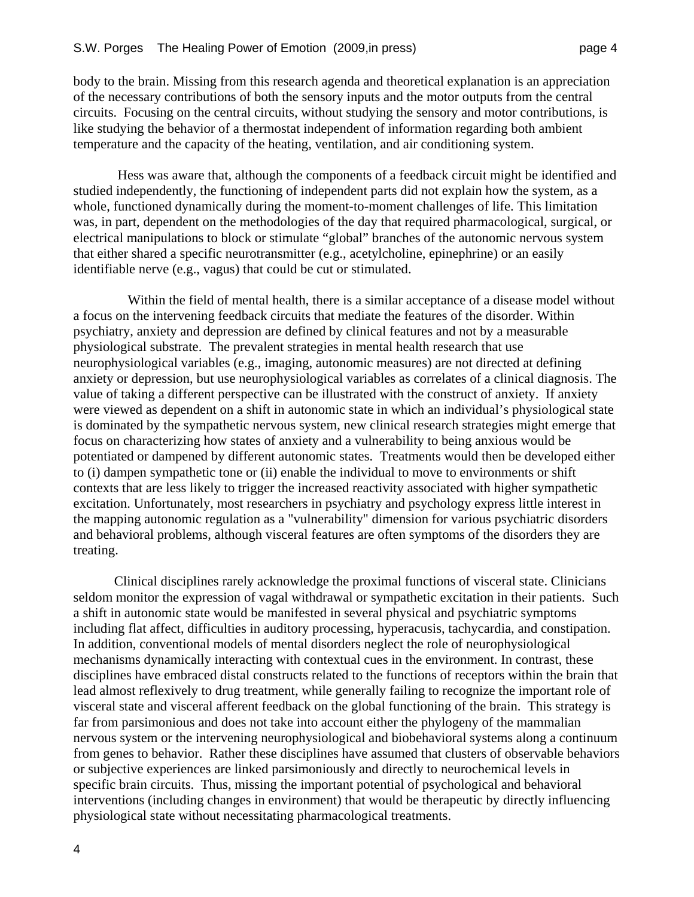body to the brain. Missing from this research agenda and theoretical explanation is an appreciation of the necessary contributions of both the sensory inputs and the motor outputs from the central circuits. Focusing on the central circuits, without studying the sensory and motor contributions, is like studying the behavior of a thermostat independent of information regarding both ambient temperature and the capacity of the heating, ventilation, and air conditioning system.

 Hess was aware that, although the components of a feedback circuit might be identified and studied independently, the functioning of independent parts did not explain how the system, as a whole, functioned dynamically during the moment-to-moment challenges of life. This limitation was, in part, dependent on the methodologies of the day that required pharmacological, surgical, or electrical manipulations to block or stimulate "global" branches of the autonomic nervous system that either shared a specific neurotransmitter (e.g., acetylcholine, epinephrine) or an easily identifiable nerve (e.g., vagus) that could be cut or stimulated.

 Within the field of mental health, there is a similar acceptance of a disease model without a focus on the intervening feedback circuits that mediate the features of the disorder. Within psychiatry, anxiety and depression are defined by clinical features and not by a measurable physiological substrate. The prevalent strategies in mental health research that use neurophysiological variables (e.g., imaging, autonomic measures) are not directed at defining anxiety or depression, but use neurophysiological variables as correlates of a clinical diagnosis. The value of taking a different perspective can be illustrated with the construct of anxiety. If anxiety were viewed as dependent on a shift in autonomic state in which an individual's physiological state is dominated by the sympathetic nervous system, new clinical research strategies might emerge that focus on characterizing how states of anxiety and a vulnerability to being anxious would be potentiated or dampened by different autonomic states. Treatments would then be developed either to (i) dampen sympathetic tone or (ii) enable the individual to move to environments or shift contexts that are less likely to trigger the increased reactivity associated with higher sympathetic excitation. Unfortunately, most researchers in psychiatry and psychology express little interest in the mapping autonomic regulation as a "vulnerability" dimension for various psychiatric disorders and behavioral problems, although visceral features are often symptoms of the disorders they are treating.

Clinical disciplines rarely acknowledge the proximal functions of visceral state. Clinicians seldom monitor the expression of vagal withdrawal or sympathetic excitation in their patients. Such a shift in autonomic state would be manifested in several physical and psychiatric symptoms including flat affect, difficulties in auditory processing, hyperacusis, tachycardia, and constipation. In addition, conventional models of mental disorders neglect the role of neurophysiological mechanisms dynamically interacting with contextual cues in the environment. In contrast, these disciplines have embraced distal constructs related to the functions of receptors within the brain that lead almost reflexively to drug treatment, while generally failing to recognize the important role of visceral state and visceral afferent feedback on the global functioning of the brain. This strategy is far from parsimonious and does not take into account either the phylogeny of the mammalian nervous system or the intervening neurophysiological and biobehavioral systems along a continuum from genes to behavior. Rather these disciplines have assumed that clusters of observable behaviors or subjective experiences are linked parsimoniously and directly to neurochemical levels in specific brain circuits. Thus, missing the important potential of psychological and behavioral interventions (including changes in environment) that would be therapeutic by directly influencing physiological state without necessitating pharmacological treatments.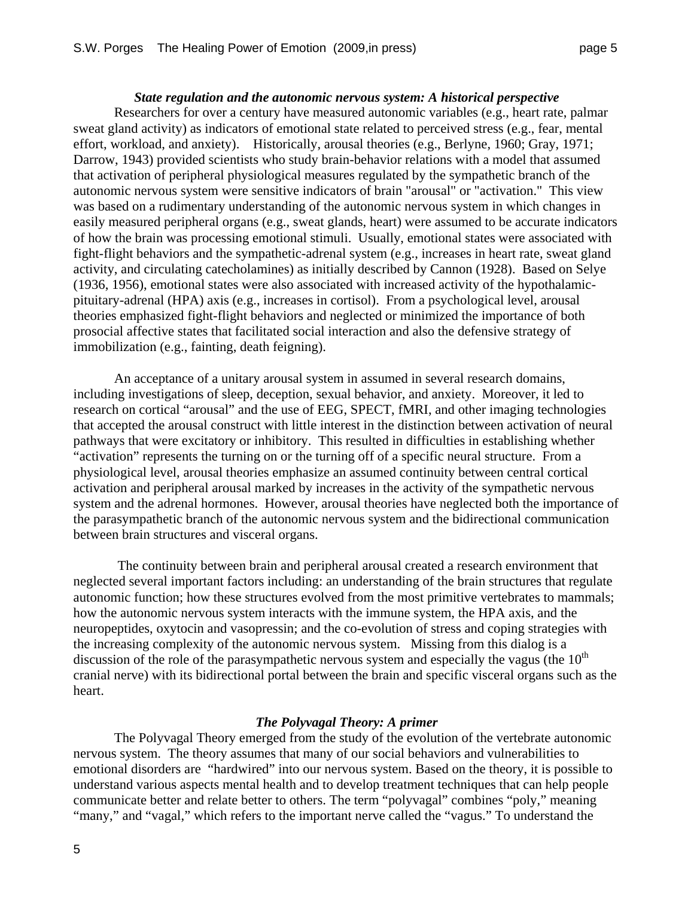#### *State regulation and the autonomic nervous system: A historical perspective*

Researchers for over a century have measured autonomic variables (e.g., heart rate, palmar sweat gland activity) as indicators of emotional state related to perceived stress (e.g., fear, mental effort, workload, and anxiety). Historically, arousal theories (e.g., Berlyne, 1960; Gray, 1971; Darrow, 1943) provided scientists who study brain-behavior relations with a model that assumed that activation of peripheral physiological measures regulated by the sympathetic branch of the autonomic nervous system were sensitive indicators of brain "arousal" or "activation." This view was based on a rudimentary understanding of the autonomic nervous system in which changes in easily measured peripheral organs (e.g., sweat glands, heart) were assumed to be accurate indicators of how the brain was processing emotional stimuli. Usually, emotional states were associated with fight-flight behaviors and the sympathetic-adrenal system (e.g., increases in heart rate, sweat gland activity, and circulating catecholamines) as initially described by Cannon (1928). Based on Selye (1936, 1956), emotional states were also associated with increased activity of the hypothalamicpituitary-adrenal (HPA) axis (e.g., increases in cortisol). From a psychological level, arousal theories emphasized fight-flight behaviors and neglected or minimized the importance of both prosocial affective states that facilitated social interaction and also the defensive strategy of immobilization (e.g., fainting, death feigning).

An acceptance of a unitary arousal system in assumed in several research domains, including investigations of sleep, deception, sexual behavior, and anxiety. Moreover, it led to research on cortical "arousal" and the use of EEG, SPECT, fMRI, and other imaging technologies that accepted the arousal construct with little interest in the distinction between activation of neural pathways that were excitatory or inhibitory. This resulted in difficulties in establishing whether "activation" represents the turning on or the turning off of a specific neural structure. From a physiological level, arousal theories emphasize an assumed continuity between central cortical activation and peripheral arousal marked by increases in the activity of the sympathetic nervous system and the adrenal hormones. However, arousal theories have neglected both the importance of the parasympathetic branch of the autonomic nervous system and the bidirectional communication between brain structures and visceral organs.

 The continuity between brain and peripheral arousal created a research environment that neglected several important factors including: an understanding of the brain structures that regulate autonomic function; how these structures evolved from the most primitive vertebrates to mammals; how the autonomic nervous system interacts with the immune system, the HPA axis, and the neuropeptides, oxytocin and vasopressin; and the co-evolution of stress and coping strategies with the increasing complexity of the autonomic nervous system. Missing from this dialog is a discussion of the role of the parasympathetic nervous system and especially the vagus (the  $10<sup>th</sup>$ cranial nerve) with its bidirectional portal between the brain and specific visceral organs such as the heart.

#### *The Polyvagal Theory: A primer*

 The Polyvagal Theory emerged from the study of the evolution of the vertebrate autonomic nervous system. The theory assumes that many of our social behaviors and vulnerabilities to emotional disorders are "hardwired" into our nervous system. Based on the theory, it is possible to understand various aspects mental health and to develop treatment techniques that can help people communicate better and relate better to others. The term "polyvagal" combines "poly," meaning "many," and "vagal," which refers to the important nerve called the "vagus." To understand the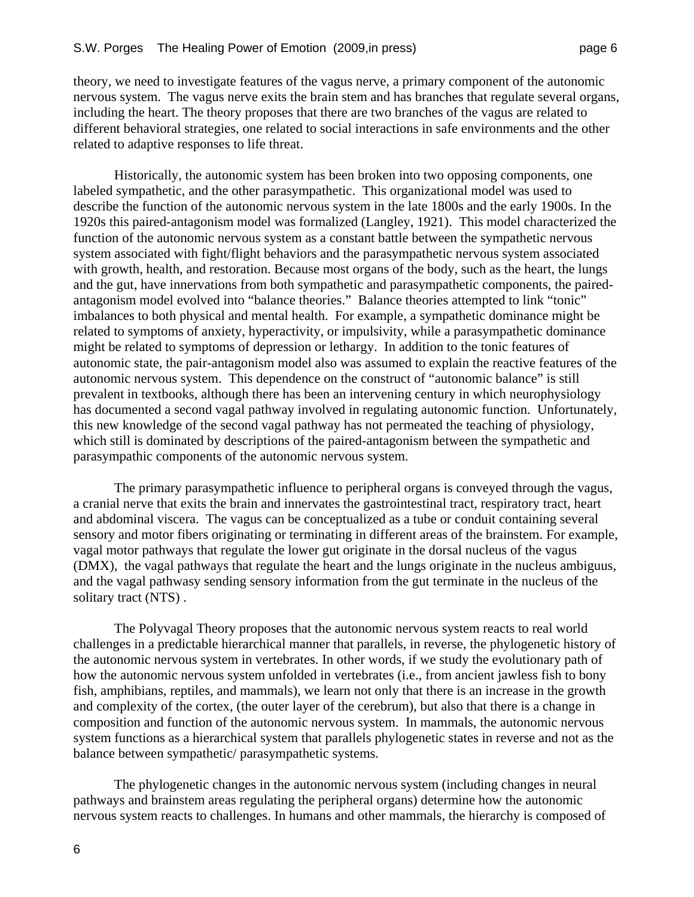theory, we need to investigate features of the vagus nerve, a primary component of the autonomic nervous system. The vagus nerve exits the brain stem and has branches that regulate several organs, including the heart. The theory proposes that there are two branches of the vagus are related to different behavioral strategies, one related to social interactions in safe environments and the other related to adaptive responses to life threat.

 Historically, the autonomic system has been broken into two opposing components, one labeled sympathetic, and the other parasympathetic. This organizational model was used to describe the function of the autonomic nervous system in the late 1800s and the early 1900s. In the 1920s this paired-antagonism model was formalized (Langley, 1921). This model characterized the function of the autonomic nervous system as a constant battle between the sympathetic nervous system associated with fight/flight behaviors and the parasympathetic nervous system associated with growth, health, and restoration. Because most organs of the body, such as the heart, the lungs and the gut, have innervations from both sympathetic and parasympathetic components, the pairedantagonism model evolved into "balance theories." Balance theories attempted to link "tonic" imbalances to both physical and mental health. For example, a sympathetic dominance might be related to symptoms of anxiety, hyperactivity, or impulsivity, while a parasympathetic dominance might be related to symptoms of depression or lethargy. In addition to the tonic features of autonomic state, the pair-antagonism model also was assumed to explain the reactive features of the autonomic nervous system. This dependence on the construct of "autonomic balance" is still prevalent in textbooks, although there has been an intervening century in which neurophysiology has documented a second vagal pathway involved in regulating autonomic function. Unfortunately, this new knowledge of the second vagal pathway has not permeated the teaching of physiology, which still is dominated by descriptions of the paired-antagonism between the sympathetic and parasympathic components of the autonomic nervous system.

 The primary parasympathetic influence to peripheral organs is conveyed through the vagus, a cranial nerve that exits the brain and innervates the gastrointestinal tract, respiratory tract, heart and abdominal viscera. The vagus can be conceptualized as a tube or conduit containing several sensory and motor fibers originating or terminating in different areas of the brainstem. For example, vagal motor pathways that regulate the lower gut originate in the dorsal nucleus of the vagus (DMX), the vagal pathways that regulate the heart and the lungs originate in the nucleus ambiguus, and the vagal pathwasy sending sensory information from the gut terminate in the nucleus of the solitary tract (NTS) .

 The Polyvagal Theory proposes that the autonomic nervous system reacts to real world challenges in a predictable hierarchical manner that parallels, in reverse, the phylogenetic history of the autonomic nervous system in vertebrates. In other words, if we study the evolutionary path of how the autonomic nervous system unfolded in vertebrates (i.e., from ancient jawless fish to bony fish, amphibians, reptiles, and mammals), we learn not only that there is an increase in the growth and complexity of the cortex, (the outer layer of the cerebrum), but also that there is a change in composition and function of the autonomic nervous system. In mammals, the autonomic nervous system functions as a hierarchical system that parallels phylogenetic states in reverse and not as the balance between sympathetic/ parasympathetic systems.

 The phylogenetic changes in the autonomic nervous system (including changes in neural pathways and brainstem areas regulating the peripheral organs) determine how the autonomic nervous system reacts to challenges. In humans and other mammals, the hierarchy is composed of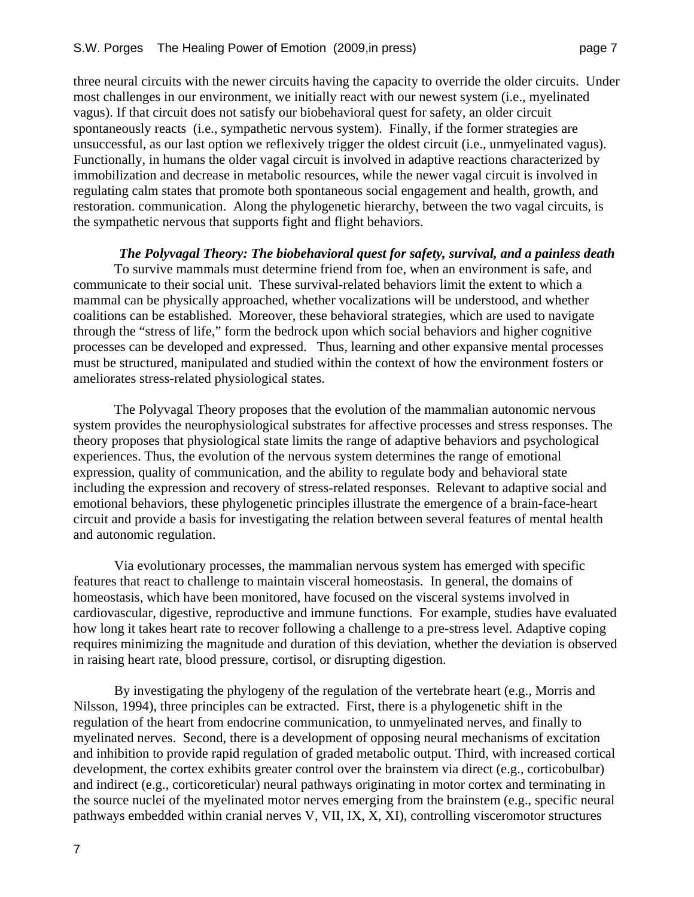three neural circuits with the newer circuits having the capacity to override the older circuits. Under most challenges in our environment, we initially react with our newest system (i.e., myelinated vagus). If that circuit does not satisfy our biobehavioral quest for safety, an older circuit spontaneously reacts (i.e., sympathetic nervous system). Finally, if the former strategies are unsuccessful, as our last option we reflexively trigger the oldest circuit (i.e., unmyelinated vagus). Functionally, in humans the older vagal circuit is involved in adaptive reactions characterized by immobilization and decrease in metabolic resources, while the newer vagal circuit is involved in regulating calm states that promote both spontaneous social engagement and health, growth, and restoration. communication. Along the phylogenetic hierarchy, between the two vagal circuits, is the sympathetic nervous that supports fight and flight behaviors.

## *The Polyvagal Theory: The biobehavioral quest for safety, survival, and a painless death*

To survive mammals must determine friend from foe, when an environment is safe, and communicate to their social unit. These survival-related behaviors limit the extent to which a mammal can be physically approached, whether vocalizations will be understood, and whether coalitions can be established. Moreover, these behavioral strategies, which are used to navigate through the "stress of life," form the bedrock upon which social behaviors and higher cognitive processes can be developed and expressed. Thus, learning and other expansive mental processes must be structured, manipulated and studied within the context of how the environment fosters or ameliorates stress-related physiological states.

The Polyvagal Theory proposes that the evolution of the mammalian autonomic nervous system provides the neurophysiological substrates for affective processes and stress responses. The theory proposes that physiological state limits the range of adaptive behaviors and psychological experiences. Thus, the evolution of the nervous system determines the range of emotional expression, quality of communication, and the ability to regulate body and behavioral state including the expression and recovery of stress-related responses. Relevant to adaptive social and emotional behaviors, these phylogenetic principles illustrate the emergence of a brain-face-heart circuit and provide a basis for investigating the relation between several features of mental health and autonomic regulation.

Via evolutionary processes, the mammalian nervous system has emerged with specific features that react to challenge to maintain visceral homeostasis. In general, the domains of homeostasis, which have been monitored, have focused on the visceral systems involved in cardiovascular, digestive, reproductive and immune functions. For example, studies have evaluated how long it takes heart rate to recover following a challenge to a pre-stress level. Adaptive coping requires minimizing the magnitude and duration of this deviation, whether the deviation is observed in raising heart rate, blood pressure, cortisol, or disrupting digestion.

By investigating the phylogeny of the regulation of the vertebrate heart (e.g., Morris and Nilsson, 1994), three principles can be extracted. First, there is a phylogenetic shift in the regulation of the heart from endocrine communication, to unmyelinated nerves, and finally to myelinated nerves. Second, there is a development of opposing neural mechanisms of excitation and inhibition to provide rapid regulation of graded metabolic output. Third, with increased cortical development, the cortex exhibits greater control over the brainstem via direct (e.g., corticobulbar) and indirect (e.g., corticoreticular) neural pathways originating in motor cortex and terminating in the source nuclei of the myelinated motor nerves emerging from the brainstem (e.g., specific neural pathways embedded within cranial nerves V, VII, IX, X, XI), controlling visceromotor structures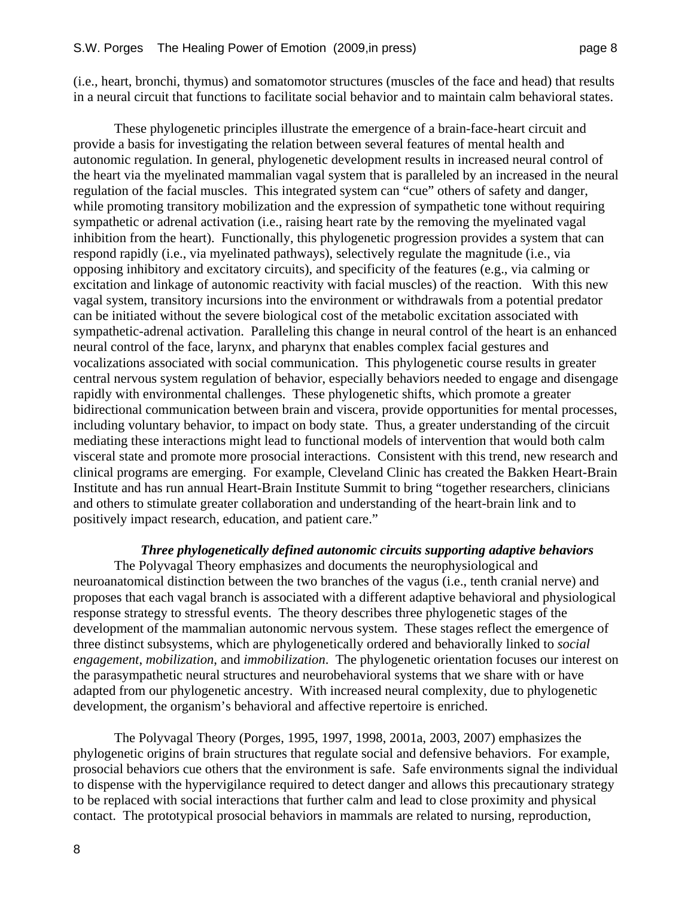(i.e., heart, bronchi, thymus) and somatomotor structures (muscles of the face and head) that results in a neural circuit that functions to facilitate social behavior and to maintain calm behavioral states.

These phylogenetic principles illustrate the emergence of a brain-face-heart circuit and provide a basis for investigating the relation between several features of mental health and autonomic regulation. In general, phylogenetic development results in increased neural control of the heart via the myelinated mammalian vagal system that is paralleled by an increased in the neural regulation of the facial muscles. This integrated system can "cue" others of safety and danger, while promoting transitory mobilization and the expression of sympathetic tone without requiring sympathetic or adrenal activation (i.e., raising heart rate by the removing the myelinated vagal inhibition from the heart). Functionally, this phylogenetic progression provides a system that can respond rapidly (i.e., via myelinated pathways), selectively regulate the magnitude (i.e., via opposing inhibitory and excitatory circuits), and specificity of the features (e.g., via calming or excitation and linkage of autonomic reactivity with facial muscles) of the reaction. With this new vagal system, transitory incursions into the environment or withdrawals from a potential predator can be initiated without the severe biological cost of the metabolic excitation associated with sympathetic-adrenal activation. Paralleling this change in neural control of the heart is an enhanced neural control of the face, larynx, and pharynx that enables complex facial gestures and vocalizations associated with social communication. This phylogenetic course results in greater central nervous system regulation of behavior, especially behaviors needed to engage and disengage rapidly with environmental challenges. These phylogenetic shifts, which promote a greater bidirectional communication between brain and viscera, provide opportunities for mental processes, including voluntary behavior, to impact on body state. Thus, a greater understanding of the circuit mediating these interactions might lead to functional models of intervention that would both calm visceral state and promote more prosocial interactions. Consistent with this trend, new research and clinical programs are emerging. For example, Cleveland Clinic has created the Bakken Heart-Brain Institute and has run annual Heart-Brain Institute Summit to bring "together researchers, clinicians and others to stimulate greater collaboration and understanding of the heart-brain link and to positively impact research, education, and patient care."

### *Three phylogenetically defined autonomic circuits supporting adaptive behaviors*

The Polyvagal Theory emphasizes and documents the neurophysiological and neuroanatomical distinction between the two branches of the vagus (i.e., tenth cranial nerve) and proposes that each vagal branch is associated with a different adaptive behavioral and physiological response strategy to stressful events. The theory describes three phylogenetic stages of the development of the mammalian autonomic nervous system. These stages reflect the emergence of three distinct subsystems, which are phylogenetically ordered and behaviorally linked to *social engagement*, *mobilization*, and *immobilization*. The phylogenetic orientation focuses our interest on the parasympathetic neural structures and neurobehavioral systems that we share with or have adapted from our phylogenetic ancestry. With increased neural complexity, due to phylogenetic development, the organism's behavioral and affective repertoire is enriched.

The Polyvagal Theory (Porges, 1995, 1997, 1998, 2001a, 2003, 2007) emphasizes the phylogenetic origins of brain structures that regulate social and defensive behaviors. For example, prosocial behaviors cue others that the environment is safe. Safe environments signal the individual to dispense with the hypervigilance required to detect danger and allows this precautionary strategy to be replaced with social interactions that further calm and lead to close proximity and physical contact. The prototypical prosocial behaviors in mammals are related to nursing, reproduction,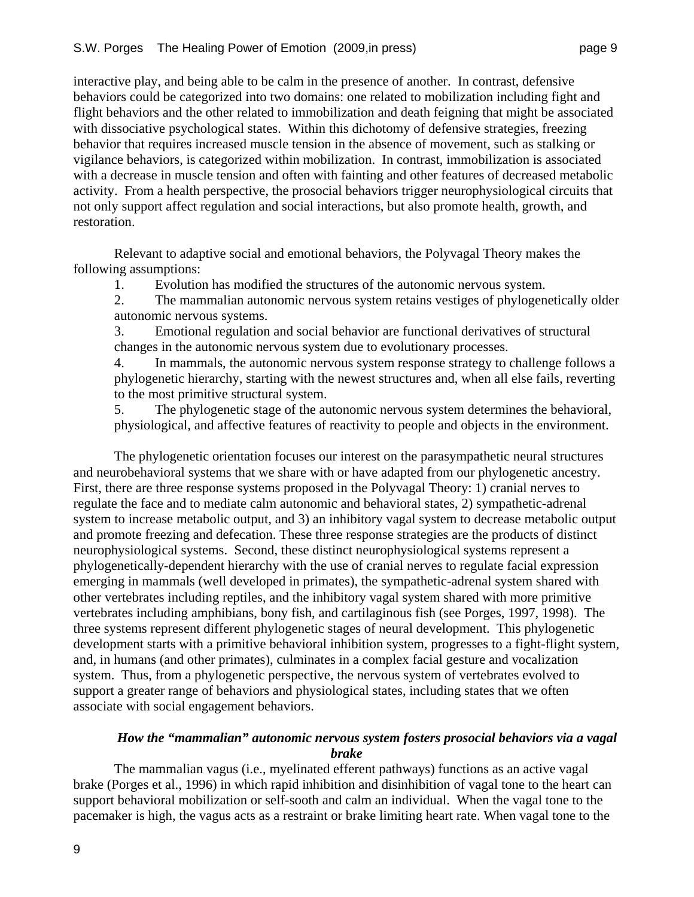interactive play, and being able to be calm in the presence of another. In contrast, defensive behaviors could be categorized into two domains: one related to mobilization including fight and flight behaviors and the other related to immobilization and death feigning that might be associated with dissociative psychological states. Within this dichotomy of defensive strategies, freezing behavior that requires increased muscle tension in the absence of movement, such as stalking or vigilance behaviors, is categorized within mobilization. In contrast, immobilization is associated with a decrease in muscle tension and often with fainting and other features of decreased metabolic activity. From a health perspective, the prosocial behaviors trigger neurophysiological circuits that not only support affect regulation and social interactions, but also promote health, growth, and restoration.

Relevant to adaptive social and emotional behaviors, the Polyvagal Theory makes the following assumptions:

1. Evolution has modified the structures of the autonomic nervous system.

2. The mammalian autonomic nervous system retains vestiges of phylogenetically older autonomic nervous systems.

3. Emotional regulation and social behavior are functional derivatives of structural changes in the autonomic nervous system due to evolutionary processes.

4. In mammals, the autonomic nervous system response strategy to challenge follows a phylogenetic hierarchy, starting with the newest structures and, when all else fails, reverting to the most primitive structural system.

5. The phylogenetic stage of the autonomic nervous system determines the behavioral, physiological, and affective features of reactivity to people and objects in the environment.

The phylogenetic orientation focuses our interest on the parasympathetic neural structures and neurobehavioral systems that we share with or have adapted from our phylogenetic ancestry. First, there are three response systems proposed in the Polyvagal Theory: 1) cranial nerves to regulate the face and to mediate calm autonomic and behavioral states, 2) sympathetic-adrenal system to increase metabolic output, and 3) an inhibitory vagal system to decrease metabolic output and promote freezing and defecation. These three response strategies are the products of distinct neurophysiological systems. Second, these distinct neurophysiological systems represent a phylogenetically-dependent hierarchy with the use of cranial nerves to regulate facial expression emerging in mammals (well developed in primates), the sympathetic-adrenal system shared with other vertebrates including reptiles, and the inhibitory vagal system shared with more primitive vertebrates including amphibians, bony fish, and cartilaginous fish (see Porges, 1997, 1998). The three systems represent different phylogenetic stages of neural development. This phylogenetic development starts with a primitive behavioral inhibition system, progresses to a fight-flight system, and, in humans (and other primates), culminates in a complex facial gesture and vocalization system. Thus, from a phylogenetic perspective, the nervous system of vertebrates evolved to support a greater range of behaviors and physiological states, including states that we often associate with social engagement behaviors.

# *How the "mammalian" autonomic nervous system fosters prosocial behaviors via a vagal brake*

The mammalian vagus (i.e., myelinated efferent pathways) functions as an active vagal brake (Porges et al., 1996) in which rapid inhibition and disinhibition of vagal tone to the heart can support behavioral mobilization or self-sooth and calm an individual. When the vagal tone to the pacemaker is high, the vagus acts as a restraint or brake limiting heart rate. When vagal tone to the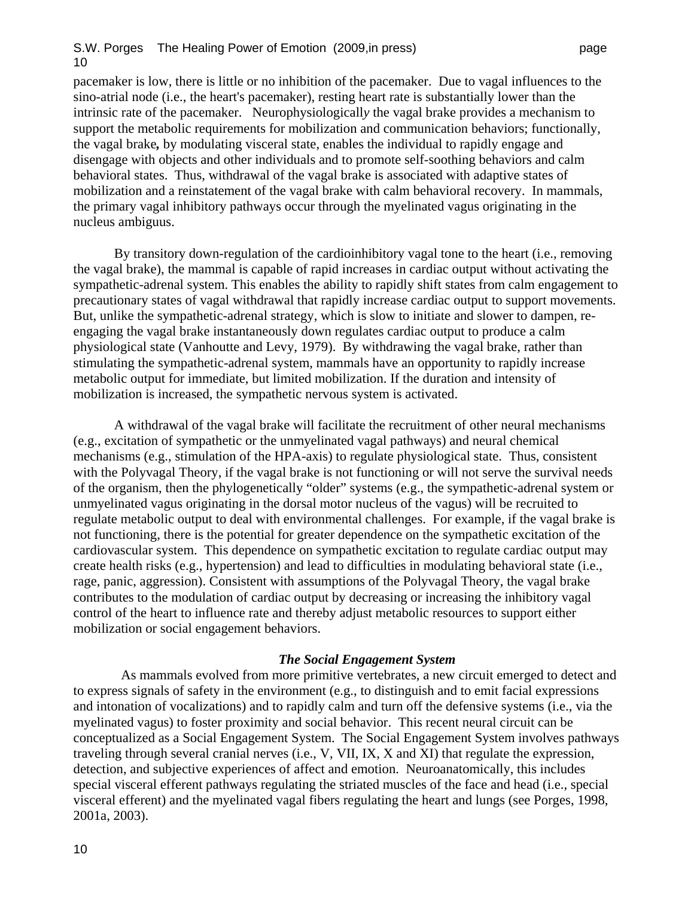pacemaker is low, there is little or no inhibition of the pacemaker. Due to vagal influences to the sino-atrial node (i.e., the heart's pacemaker), resting heart rate is substantially lower than the intrinsic rate of the pacemaker. Neurophysiologicall*y* the vagal brake provides a mechanism to support the metabolic requirements for mobilization and communication behaviors; functionally, the vagal brake*,* by modulating visceral state, enables the individual to rapidly engage and disengage with objects and other individuals and to promote self-soothing behaviors and calm behavioral states. Thus, withdrawal of the vagal brake is associated with adaptive states of mobilization and a reinstatement of the vagal brake with calm behavioral recovery. In mammals, the primary vagal inhibitory pathways occur through the myelinated vagus originating in the nucleus ambiguus.

By transitory down-regulation of the cardioinhibitory vagal tone to the heart (i.e., removing the vagal brake), the mammal is capable of rapid increases in cardiac output without activating the sympathetic-adrenal system. This enables the ability to rapidly shift states from calm engagement to precautionary states of vagal withdrawal that rapidly increase cardiac output to support movements. But, unlike the sympathetic-adrenal strategy, which is slow to initiate and slower to dampen, reengaging the vagal brake instantaneously down regulates cardiac output to produce a calm physiological state (Vanhoutte and Levy, 1979). By withdrawing the vagal brake, rather than stimulating the sympathetic-adrenal system, mammals have an opportunity to rapidly increase metabolic output for immediate, but limited mobilization. If the duration and intensity of mobilization is increased, the sympathetic nervous system is activated.

A withdrawal of the vagal brake will facilitate the recruitment of other neural mechanisms (e.g., excitation of sympathetic or the unmyelinated vagal pathways) and neural chemical mechanisms (e.g., stimulation of the HPA-axis) to regulate physiological state. Thus, consistent with the Polyvagal Theory, if the vagal brake is not functioning or will not serve the survival needs of the organism, then the phylogenetically "older" systems (e.g., the sympathetic-adrenal system or unmyelinated vagus originating in the dorsal motor nucleus of the vagus) will be recruited to regulate metabolic output to deal with environmental challenges. For example, if the vagal brake is not functioning, there is the potential for greater dependence on the sympathetic excitation of the cardiovascular system. This dependence on sympathetic excitation to regulate cardiac output may create health risks (e.g., hypertension) and lead to difficulties in modulating behavioral state (i.e., rage, panic, aggression). Consistent with assumptions of the Polyvagal Theory, the vagal brake contributes to the modulation of cardiac output by decreasing or increasing the inhibitory vagal control of the heart to influence rate and thereby adjust metabolic resources to support either mobilization or social engagement behaviors.

### *The Social Engagement System*

 As mammals evolved from more primitive vertebrates, a new circuit emerged to detect and to express signals of safety in the environment (e.g., to distinguish and to emit facial expressions and intonation of vocalizations) and to rapidly calm and turn off the defensive systems (i.e., via the myelinated vagus) to foster proximity and social behavior. This recent neural circuit can be conceptualized as a Social Engagement System. The Social Engagement System involves pathways traveling through several cranial nerves (i.e., V, VII, IX, X and XI) that regulate the expression, detection, and subjective experiences of affect and emotion. Neuroanatomically, this includes special visceral efferent pathways regulating the striated muscles of the face and head (i.e., special visceral efferent) and the myelinated vagal fibers regulating the heart and lungs (see Porges, 1998, 2001a, 2003).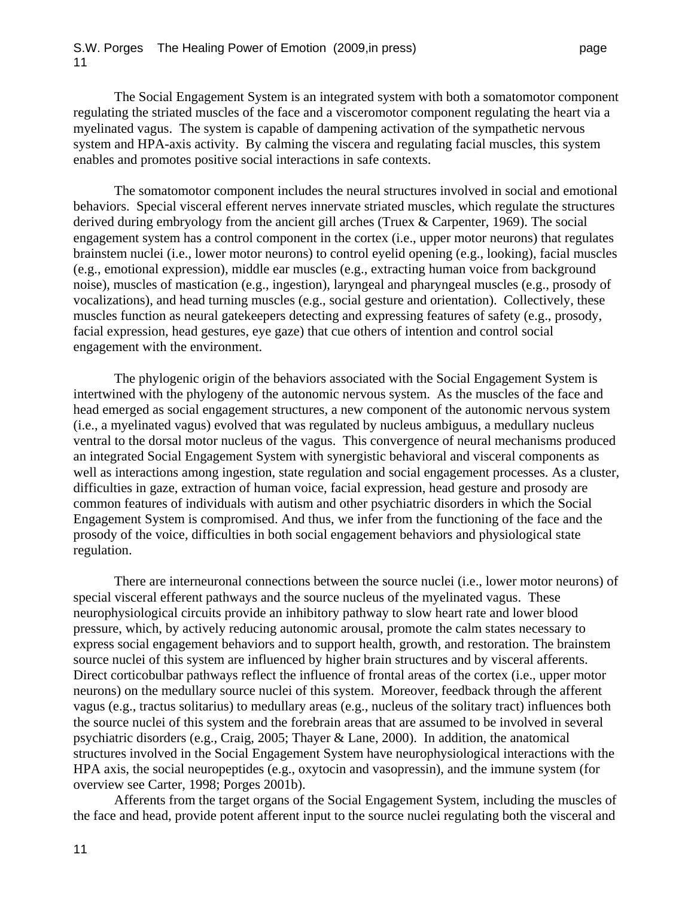The Social Engagement System is an integrated system with both a somatomotor component regulating the striated muscles of the face and a visceromotor component regulating the heart via a myelinated vagus. The system is capable of dampening activation of the sympathetic nervous system and HPA-axis activity. By calming the viscera and regulating facial muscles, this system enables and promotes positive social interactions in safe contexts.

The somatomotor component includes the neural structures involved in social and emotional behaviors. Special visceral efferent nerves innervate striated muscles, which regulate the structures derived during embryology from the ancient gill arches (Truex & Carpenter, 1969). The social engagement system has a control component in the cortex (i.e., upper motor neurons) that regulates brainstem nuclei (i.e., lower motor neurons) to control eyelid opening (e.g., looking), facial muscles (e.g., emotional expression), middle ear muscles (e.g., extracting human voice from background noise), muscles of mastication (e.g., ingestion), laryngeal and pharyngeal muscles (e.g., prosody of vocalizations), and head turning muscles (e.g., social gesture and orientation). Collectively, these muscles function as neural gatekeepers detecting and expressing features of safety (e.g., prosody, facial expression, head gestures, eye gaze) that cue others of intention and control social engagement with the environment.

The phylogenic origin of the behaviors associated with the Social Engagement System is intertwined with the phylogeny of the autonomic nervous system. As the muscles of the face and head emerged as social engagement structures, a new component of the autonomic nervous system (i.e., a myelinated vagus) evolved that was regulated by nucleus ambiguus, a medullary nucleus ventral to the dorsal motor nucleus of the vagus. This convergence of neural mechanisms produced an integrated Social Engagement System with synergistic behavioral and visceral components as well as interactions among ingestion, state regulation and social engagement processes. As a cluster, difficulties in gaze, extraction of human voice, facial expression, head gesture and prosody are common features of individuals with autism and other psychiatric disorders in which the Social Engagement System is compromised. And thus, we infer from the functioning of the face and the prosody of the voice, difficulties in both social engagement behaviors and physiological state regulation.

There are interneuronal connections between the source nuclei (i.e., lower motor neurons) of special visceral efferent pathways and the source nucleus of the myelinated vagus. These neurophysiological circuits provide an inhibitory pathway to slow heart rate and lower blood pressure, which, by actively reducing autonomic arousal, promote the calm states necessary to express social engagement behaviors and to support health, growth, and restoration. The brainstem source nuclei of this system are influenced by higher brain structures and by visceral afferents. Direct corticobulbar pathways reflect the influence of frontal areas of the cortex (i.e., upper motor neurons) on the medullary source nuclei of this system. Moreover, feedback through the afferent vagus (e.g., tractus solitarius) to medullary areas (e.g., nucleus of the solitary tract) influences both the source nuclei of this system and the forebrain areas that are assumed to be involved in several psychiatric disorders (e.g., Craig, 2005; Thayer & Lane, 2000). In addition, the anatomical structures involved in the Social Engagement System have neurophysiological interactions with the HPA axis, the social neuropeptides (e.g., oxytocin and vasopressin), and the immune system (for overview see Carter, 1998; Porges 2001b).

Afferents from the target organs of the Social Engagement System, including the muscles of the face and head, provide potent afferent input to the source nuclei regulating both the visceral and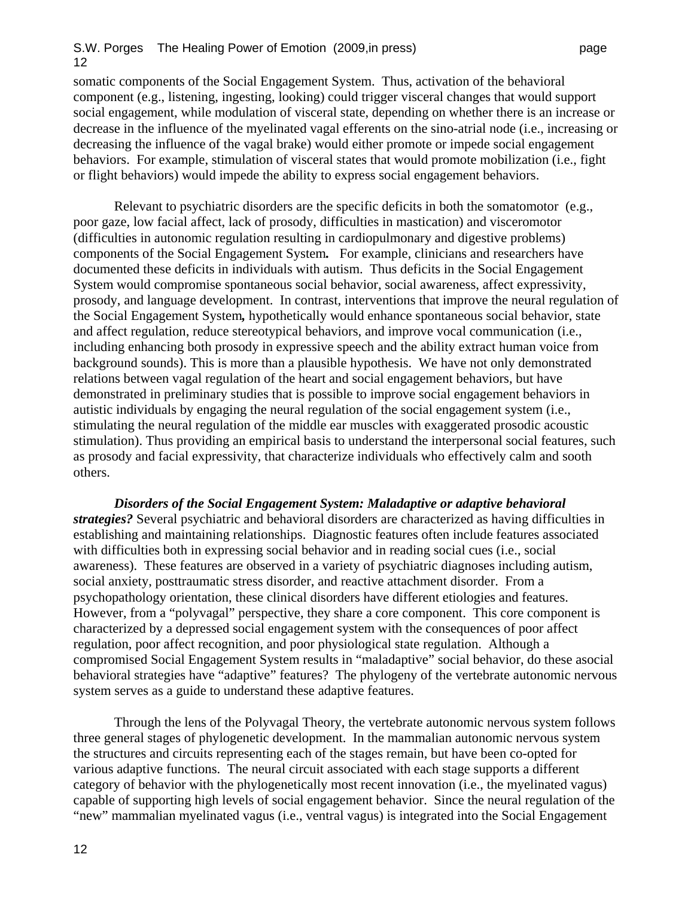somatic components of the Social Engagement System. Thus, activation of the behavioral component (e.g., listening, ingesting, looking) could trigger visceral changes that would support social engagement, while modulation of visceral state, depending on whether there is an increase or decrease in the influence of the myelinated vagal efferents on the sino-atrial node (i.e., increasing or decreasing the influence of the vagal brake) would either promote or impede social engagement behaviors. For example, stimulation of visceral states that would promote mobilization (i.e., fight or flight behaviors) would impede the ability to express social engagement behaviors.

Relevant to psychiatric disorders are the specific deficits in both the somatomotor (e.g., poor gaze, low facial affect, lack of prosody, difficulties in mastication) and visceromotor (difficulties in autonomic regulation resulting in cardiopulmonary and digestive problems) components of the Social Engagement System*.* For example, clinicians and researchers have documented these deficits in individuals with autism. Thus deficits in the Social Engagement System would compromise spontaneous social behavior, social awareness, affect expressivity, prosody, and language development. In contrast, interventions that improve the neural regulation of the Social Engagement System*,* hypothetically would enhance spontaneous social behavior, state and affect regulation, reduce stereotypical behaviors, and improve vocal communication (i.e., including enhancing both prosody in expressive speech and the ability extract human voice from background sounds). This is more than a plausible hypothesis. We have not only demonstrated relations between vagal regulation of the heart and social engagement behaviors, but have demonstrated in preliminary studies that is possible to improve social engagement behaviors in autistic individuals by engaging the neural regulation of the social engagement system (i.e., stimulating the neural regulation of the middle ear muscles with exaggerated prosodic acoustic stimulation). Thus providing an empirical basis to understand the interpersonal social features, such as prosody and facial expressivity, that characterize individuals who effectively calm and sooth others.

*Disorders of the Social Engagement System: Maladaptive or adaptive behavioral strategies?* Several psychiatric and behavioral disorders are characterized as having difficulties in establishing and maintaining relationships. Diagnostic features often include features associated with difficulties both in expressing social behavior and in reading social cues (i.e., social awareness). These features are observed in a variety of psychiatric diagnoses including autism, social anxiety, posttraumatic stress disorder, and reactive attachment disorder. From a psychopathology orientation, these clinical disorders have different etiologies and features. However, from a "polyvagal" perspective, they share a core component. This core component is characterized by a depressed social engagement system with the consequences of poor affect regulation, poor affect recognition, and poor physiological state regulation. Although a compromised Social Engagement System results in "maladaptive" social behavior, do these asocial behavioral strategies have "adaptive" features? The phylogeny of the vertebrate autonomic nervous system serves as a guide to understand these adaptive features.

Through the lens of the Polyvagal Theory, the vertebrate autonomic nervous system follows three general stages of phylogenetic development. In the mammalian autonomic nervous system the structures and circuits representing each of the stages remain, but have been co-opted for various adaptive functions. The neural circuit associated with each stage supports a different category of behavior with the phylogenetically most recent innovation (i.e., the myelinated vagus) capable of supporting high levels of social engagement behavior. Since the neural regulation of the "new" mammalian myelinated vagus (i.e., ventral vagus) is integrated into the Social Engagement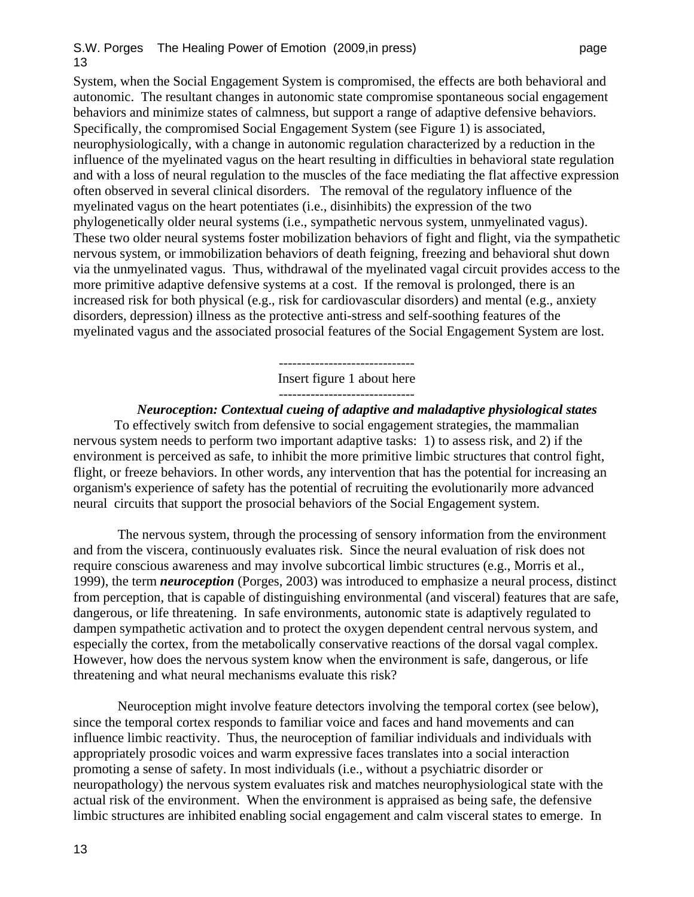System, when the Social Engagement System is compromised, the effects are both behavioral and autonomic. The resultant changes in autonomic state compromise spontaneous social engagement behaviors and minimize states of calmness, but support a range of adaptive defensive behaviors. Specifically, the compromised Social Engagement System (see Figure 1) is associated, neurophysiologically, with a change in autonomic regulation characterized by a reduction in the influence of the myelinated vagus on the heart resulting in difficulties in behavioral state regulation and with a loss of neural regulation to the muscles of the face mediating the flat affective expression often observed in several clinical disorders. The removal of the regulatory influence of the myelinated vagus on the heart potentiates (i.e., disinhibits) the expression of the two phylogenetically older neural systems (i.e., sympathetic nervous system, unmyelinated vagus). These two older neural systems foster mobilization behaviors of fight and flight, via the sympathetic nervous system, or immobilization behaviors of death feigning, freezing and behavioral shut down via the unmyelinated vagus. Thus, withdrawal of the myelinated vagal circuit provides access to the more primitive adaptive defensive systems at a cost. If the removal is prolonged, there is an increased risk for both physical (e.g., risk for cardiovascular disorders) and mental (e.g., anxiety disorders, depression) illness as the protective anti-stress and self-soothing features of the myelinated vagus and the associated prosocial features of the Social Engagement System are lost.

> ------------------------------ Insert figure 1 about here

------------------------------

*Neuroception: Contextual cueing of adaptive and maladaptive physiological states* To effectively switch from defensive to social engagement strategies, the mammalian nervous system needs to perform two important adaptive tasks: 1) to assess risk, and 2) if the environment is perceived as safe, to inhibit the more primitive limbic structures that control fight, flight, or freeze behaviors. In other words, any intervention that has the potential for increasing an organism's experience of safety has the potential of recruiting the evolutionarily more advanced neural circuits that support the prosocial behaviors of the Social Engagement system.

 The nervous system, through the processing of sensory information from the environment and from the viscera, continuously evaluates risk. Since the neural evaluation of risk does not require conscious awareness and may involve subcortical limbic structures (e.g., Morris et al., 1999), the term *neuroception* (Porges, 2003) was introduced to emphasize a neural process, distinct from perception, that is capable of distinguishing environmental (and visceral) features that are safe, dangerous, or life threatening. In safe environments, autonomic state is adaptively regulated to dampen sympathetic activation and to protect the oxygen dependent central nervous system, and especially the cortex, from the metabolically conservative reactions of the dorsal vagal complex. However, how does the nervous system know when the environment is safe, dangerous, or life threatening and what neural mechanisms evaluate this risk?

 Neuroception might involve feature detectors involving the temporal cortex (see below), since the temporal cortex responds to familiar voice and faces and hand movements and can influence limbic reactivity. Thus, the neuroception of familiar individuals and individuals with appropriately prosodic voices and warm expressive faces translates into a social interaction promoting a sense of safety. In most individuals (i.e., without a psychiatric disorder or neuropathology) the nervous system evaluates risk and matches neurophysiological state with the actual risk of the environment. When the environment is appraised as being safe, the defensive limbic structures are inhibited enabling social engagement and calm visceral states to emerge. In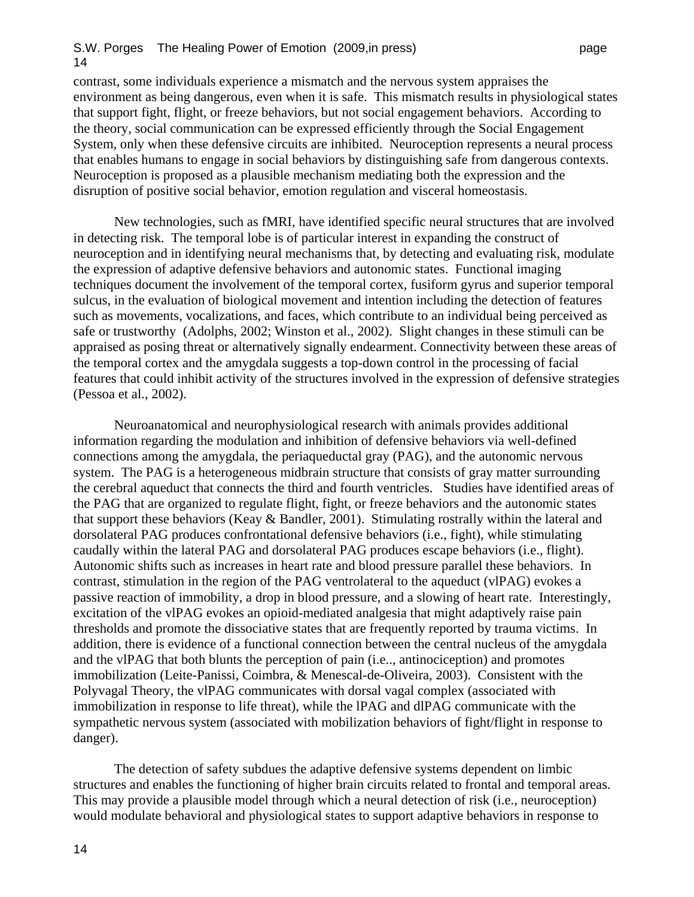contrast, some individuals experience a mismatch and the nervous system appraises the environment as being dangerous, even when it is safe. This mismatch results in physiological states that support fight, flight, or freeze behaviors, but not social engagement behaviors. According to the theory, social communication can be expressed efficiently through the Social Engagement System, only when these defensive circuits are inhibited. Neuroception represents a neural process that enables humans to engage in social behaviors by distinguishing safe from dangerous contexts. Neuroception is proposed as a plausible mechanism mediating both the expression and the disruption of positive social behavior, emotion regulation and visceral homeostasis.

New technologies, such as fMRI, have identified specific neural structures that are involved in detecting risk. The temporal lobe is of particular interest in expanding the construct of neuroception and in identifying neural mechanisms that, by detecting and evaluating risk, modulate the expression of adaptive defensive behaviors and autonomic states. Functional imaging techniques document the involvement of the temporal cortex, fusiform gyrus and superior temporal sulcus, in the evaluation of biological movement and intention including the detection of features such as movements, vocalizations, and faces, which contribute to an individual being perceived as safe or trustworthy (Adolphs, 2002; Winston et al., 2002). Slight changes in these stimuli can be appraised as posing threat or alternatively signally endearment. Connectivity between these areas of the temporal cortex and the amygdala suggests a top-down control in the processing of facial features that could inhibit activity of the structures involved in the expression of defensive strategies (Pessoa et al., 2002).

Neuroanatomical and neurophysiological research with animals provides additional information regarding the modulation and inhibition of defensive behaviors via well-defined connections among the amygdala, the periaqueductal gray (PAG), and the autonomic nervous system. The PAG is a heterogeneous midbrain structure that consists of gray matter surrounding the cerebral aqueduct that connects the third and fourth ventricles. Studies have identified areas of the PAG that are organized to regulate flight, fight, or freeze behaviors and the autonomic states that support these behaviors (Keay & Bandler, 2001). Stimulating rostrally within the lateral and dorsolateral PAG produces confrontational defensive behaviors (i.e., fight), while stimulating caudally within the lateral PAG and dorsolateral PAG produces escape behaviors (i.e., flight). Autonomic shifts such as increases in heart rate and blood pressure parallel these behaviors. In contrast, stimulation in the region of the PAG ventrolateral to the aqueduct (vlPAG) evokes a passive reaction of immobility, a drop in blood pressure, and a slowing of heart rate. Interestingly, excitation of the vlPAG evokes an opioid-mediated analgesia that might adaptively raise pain thresholds and promote the dissociative states that are frequently reported by trauma victims. In addition, there is evidence of a functional connection between the central nucleus of the amygdala and the vlPAG that both blunts the perception of pain (i.e.., antinociception) and promotes immobilization (Leite-Panissi, Coimbra, & Menescal-de-Oliveira, 2003). Consistent with the Polyvagal Theory, the vlPAG communicates with dorsal vagal complex (associated with immobilization in response to life threat), while the lPAG and dlPAG communicate with the sympathetic nervous system (associated with mobilization behaviors of fight/flight in response to danger).

The detection of safety subdues the adaptive defensive systems dependent on limbic structures and enables the functioning of higher brain circuits related to frontal and temporal areas. This may provide a plausible model through which a neural detection of risk (i.e., neuroception) would modulate behavioral and physiological states to support adaptive behaviors in response to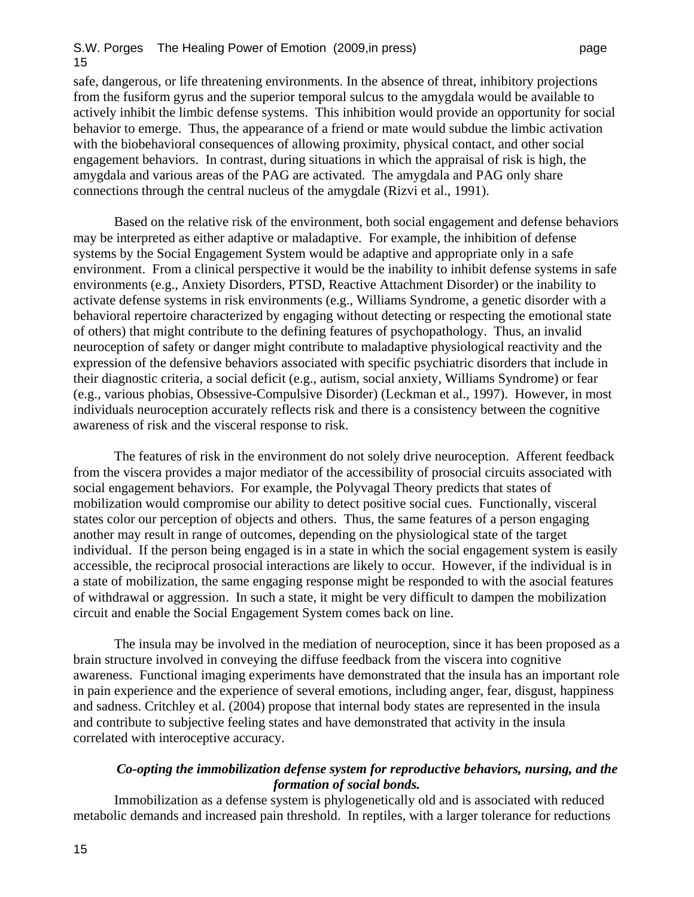safe, dangerous, or life threatening environments. In the absence of threat, inhibitory projections from the fusiform gyrus and the superior temporal sulcus to the amygdala would be available to actively inhibit the limbic defense systems. This inhibition would provide an opportunity for social behavior to emerge. Thus, the appearance of a friend or mate would subdue the limbic activation with the biobehavioral consequences of allowing proximity, physical contact, and other social engagement behaviors. In contrast, during situations in which the appraisal of risk is high, the amygdala and various areas of the PAG are activated. The amygdala and PAG only share connections through the central nucleus of the amygdale (Rizvi et al., 1991).

Based on the relative risk of the environment, both social engagement and defense behaviors may be interpreted as either adaptive or maladaptive. For example, the inhibition of defense systems by the Social Engagement System would be adaptive and appropriate only in a safe environment. From a clinical perspective it would be the inability to inhibit defense systems in safe environments (e.g., Anxiety Disorders, PTSD, Reactive Attachment Disorder) or the inability to activate defense systems in risk environments (e.g., Williams Syndrome, a genetic disorder with a behavioral repertoire characterized by engaging without detecting or respecting the emotional state of others) that might contribute to the defining features of psychopathology. Thus, an invalid neuroception of safety or danger might contribute to maladaptive physiological reactivity and the expression of the defensive behaviors associated with specific psychiatric disorders that include in their diagnostic criteria, a social deficit (e.g., autism, social anxiety, Williams Syndrome) or fear (e.g., various phobias, Obsessive-Compulsive Disorder) (Leckman et al., 1997). However, in most individuals neuroception accurately reflects risk and there is a consistency between the cognitive awareness of risk and the visceral response to risk.

The features of risk in the environment do not solely drive neuroception. Afferent feedback from the viscera provides a major mediator of the accessibility of prosocial circuits associated with social engagement behaviors. For example, the Polyvagal Theory predicts that states of mobilization would compromise our ability to detect positive social cues. Functionally, visceral states color our perception of objects and others. Thus, the same features of a person engaging another may result in range of outcomes, depending on the physiological state of the target individual. If the person being engaged is in a state in which the social engagement system is easily accessible, the reciprocal prosocial interactions are likely to occur. However, if the individual is in a state of mobilization, the same engaging response might be responded to with the asocial features of withdrawal or aggression. In such a state, it might be very difficult to dampen the mobilization circuit and enable the Social Engagement System comes back on line.

The insula may be involved in the mediation of neuroception, since it has been proposed as a brain structure involved in conveying the diffuse feedback from the viscera into cognitive awareness. Functional imaging experiments have demonstrated that the insula has an important role in pain experience and the experience of several emotions, including anger, fear, disgust, happiness and sadness. Critchley et al. (2004) propose that internal body states are represented in the insula and contribute to subjective feeling states and have demonstrated that activity in the insula correlated with interoceptive accuracy.

## *Co-opting the immobilization defense system for reproductive behaviors, nursing, and the formation of social bonds.*

Immobilization as a defense system is phylogenetically old and is associated with reduced metabolic demands and increased pain threshold. In reptiles, with a larger tolerance for reductions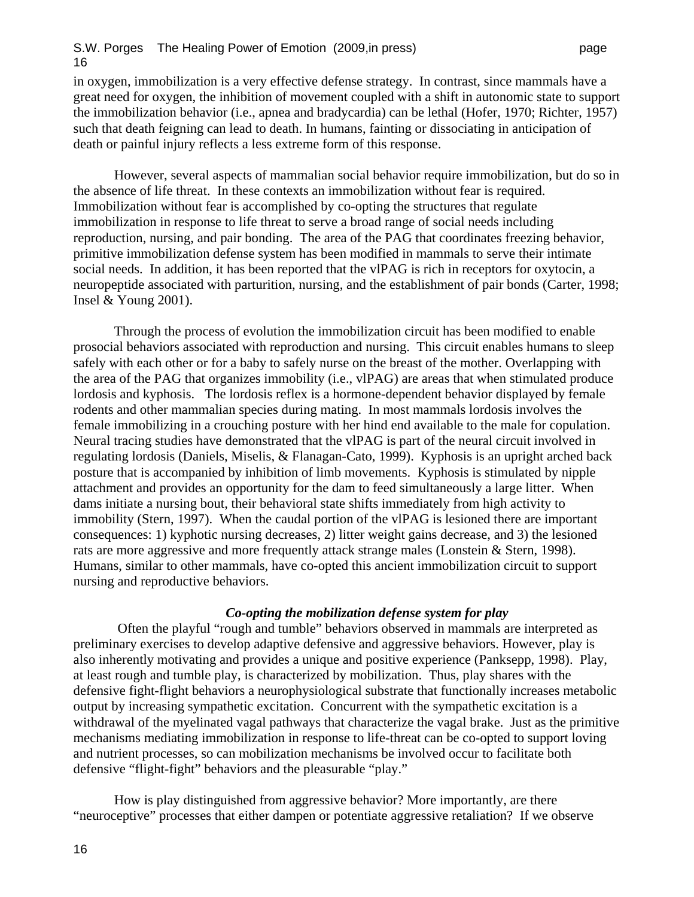in oxygen, immobilization is a very effective defense strategy. In contrast, since mammals have a great need for oxygen, the inhibition of movement coupled with a shift in autonomic state to support the immobilization behavior (i.e., apnea and bradycardia) can be lethal (Hofer, 1970; Richter, 1957) such that death feigning can lead to death. In humans, fainting or dissociating in anticipation of death or painful injury reflects a less extreme form of this response.

However, several aspects of mammalian social behavior require immobilization, but do so in the absence of life threat. In these contexts an immobilization without fear is required. Immobilization without fear is accomplished by co-opting the structures that regulate immobilization in response to life threat to serve a broad range of social needs including reproduction, nursing, and pair bonding. The area of the PAG that coordinates freezing behavior, primitive immobilization defense system has been modified in mammals to serve their intimate social needs. In addition, it has been reported that the vlPAG is rich in receptors for oxytocin, a neuropeptide associated with parturition, nursing, and the establishment of pair bonds (Carter, 1998; Insel & Young 2001).

Through the process of evolution the immobilization circuit has been modified to enable prosocial behaviors associated with reproduction and nursing. This circuit enables humans to sleep safely with each other or for a baby to safely nurse on the breast of the mother. Overlapping with the area of the PAG that organizes immobility (i.e., vlPAG) are areas that when stimulated produce lordosis and kyphosis. The lordosis reflex is a hormone-dependent behavior displayed by female rodents and other mammalian species during mating. In most mammals lordosis involves the female immobilizing in a crouching posture with her hind end available to the male for copulation. Neural tracing studies have demonstrated that the vlPAG is part of the neural circuit involved in regulating lordosis (Daniels, Miselis, & Flanagan-Cato, 1999). Kyphosis is an upright arched back posture that is accompanied by inhibition of limb movements. Kyphosis is stimulated by nipple attachment and provides an opportunity for the dam to feed simultaneously a large litter. When dams initiate a nursing bout, their behavioral state shifts immediately from high activity to immobility (Stern, 1997). When the caudal portion of the vlPAG is lesioned there are important consequences: 1) kyphotic nursing decreases, 2) litter weight gains decrease, and 3) the lesioned rats are more aggressive and more frequently attack strange males (Lonstein & Stern, 1998). Humans, similar to other mammals, have co-opted this ancient immobilization circuit to support nursing and reproductive behaviors.

# *Co-opting the mobilization defense system for play*

Often the playful "rough and tumble" behaviors observed in mammals are interpreted as preliminary exercises to develop adaptive defensive and aggressive behaviors. However, play is also inherently motivating and provides a unique and positive experience (Panksepp, 1998). Play, at least rough and tumble play, is characterized by mobilization. Thus, play shares with the defensive fight-flight behaviors a neurophysiological substrate that functionally increases metabolic output by increasing sympathetic excitation. Concurrent with the sympathetic excitation is a withdrawal of the myelinated vagal pathways that characterize the vagal brake. Just as the primitive mechanisms mediating immobilization in response to life-threat can be co-opted to support loving and nutrient processes, so can mobilization mechanisms be involved occur to facilitate both defensive "flight-fight" behaviors and the pleasurable "play."

How is play distinguished from aggressive behavior? More importantly, are there "neuroceptive" processes that either dampen or potentiate aggressive retaliation? If we observe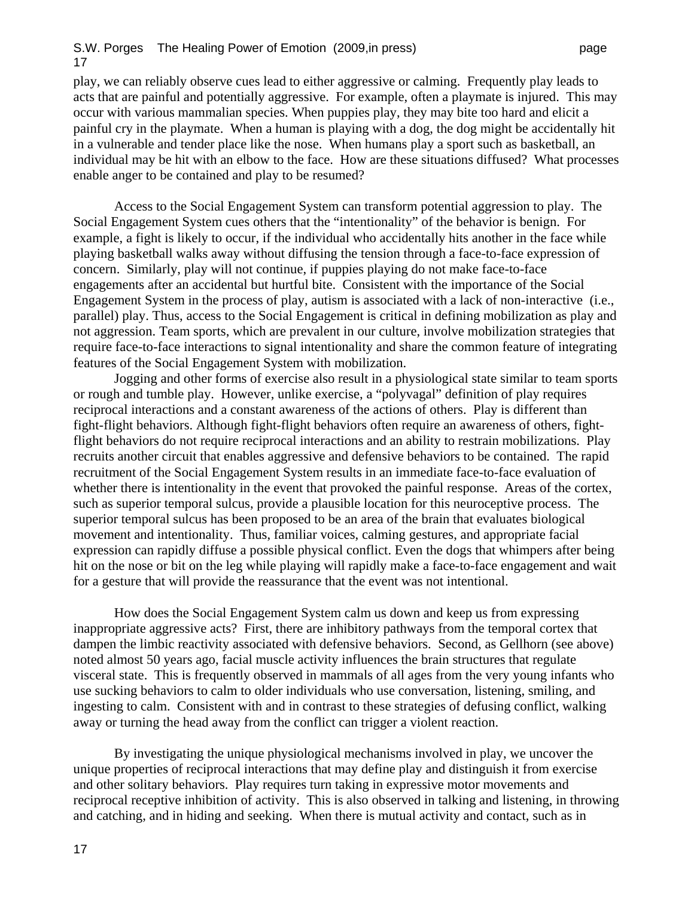play, we can reliably observe cues lead to either aggressive or calming. Frequently play leads to acts that are painful and potentially aggressive. For example, often a playmate is injured. This may occur with various mammalian species. When puppies play, they may bite too hard and elicit a painful cry in the playmate. When a human is playing with a dog, the dog might be accidentally hit in a vulnerable and tender place like the nose. When humans play a sport such as basketball, an individual may be hit with an elbow to the face. How are these situations diffused? What processes enable anger to be contained and play to be resumed?

Access to the Social Engagement System can transform potential aggression to play. The Social Engagement System cues others that the "intentionality" of the behavior is benign. For example, a fight is likely to occur, if the individual who accidentally hits another in the face while playing basketball walks away without diffusing the tension through a face-to-face expression of concern. Similarly, play will not continue, if puppies playing do not make face-to-face engagements after an accidental but hurtful bite. Consistent with the importance of the Social Engagement System in the process of play, autism is associated with a lack of non-interactive (i.e., parallel) play. Thus, access to the Social Engagement is critical in defining mobilization as play and not aggression. Team sports, which are prevalent in our culture, involve mobilization strategies that require face-to-face interactions to signal intentionality and share the common feature of integrating features of the Social Engagement System with mobilization.

 Jogging and other forms of exercise also result in a physiological state similar to team sports or rough and tumble play. However, unlike exercise, a "polyvagal" definition of play requires reciprocal interactions and a constant awareness of the actions of others. Play is different than fight-flight behaviors. Although fight-flight behaviors often require an awareness of others, fightflight behaviors do not require reciprocal interactions and an ability to restrain mobilizations. Play recruits another circuit that enables aggressive and defensive behaviors to be contained. The rapid recruitment of the Social Engagement System results in an immediate face-to-face evaluation of whether there is intentionality in the event that provoked the painful response. Areas of the cortex, such as superior temporal sulcus, provide a plausible location for this neuroceptive process. The superior temporal sulcus has been proposed to be an area of the brain that evaluates biological movement and intentionality. Thus, familiar voices, calming gestures, and appropriate facial expression can rapidly diffuse a possible physical conflict. Even the dogs that whimpers after being hit on the nose or bit on the leg while playing will rapidly make a face-to-face engagement and wait for a gesture that will provide the reassurance that the event was not intentional.

How does the Social Engagement System calm us down and keep us from expressing inappropriate aggressive acts? First, there are inhibitory pathways from the temporal cortex that dampen the limbic reactivity associated with defensive behaviors. Second, as Gellhorn (see above) noted almost 50 years ago, facial muscle activity influences the brain structures that regulate visceral state. This is frequently observed in mammals of all ages from the very young infants who use sucking behaviors to calm to older individuals who use conversation, listening, smiling, and ingesting to calm. Consistent with and in contrast to these strategies of defusing conflict, walking away or turning the head away from the conflict can trigger a violent reaction.

By investigating the unique physiological mechanisms involved in play, we uncover the unique properties of reciprocal interactions that may define play and distinguish it from exercise and other solitary behaviors. Play requires turn taking in expressive motor movements and reciprocal receptive inhibition of activity. This is also observed in talking and listening, in throwing and catching, and in hiding and seeking. When there is mutual activity and contact, such as in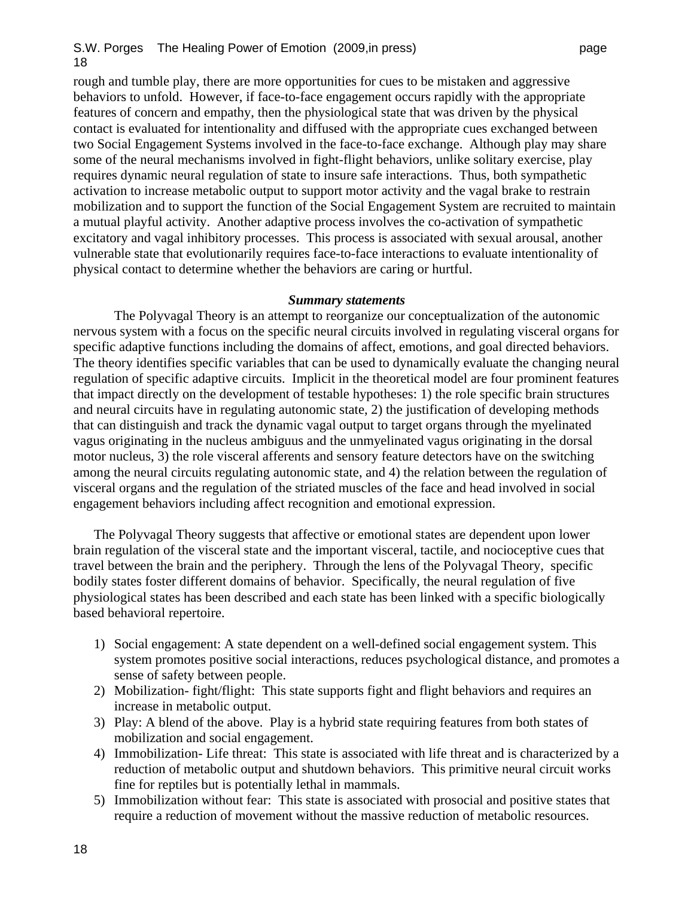rough and tumble play, there are more opportunities for cues to be mistaken and aggressive behaviors to unfold. However, if face-to-face engagement occurs rapidly with the appropriate features of concern and empathy, then the physiological state that was driven by the physical contact is evaluated for intentionality and diffused with the appropriate cues exchanged between two Social Engagement Systems involved in the face-to-face exchange. Although play may share some of the neural mechanisms involved in fight-flight behaviors, unlike solitary exercise, play requires dynamic neural regulation of state to insure safe interactions. Thus, both sympathetic activation to increase metabolic output to support motor activity and the vagal brake to restrain mobilization and to support the function of the Social Engagement System are recruited to maintain a mutual playful activity. Another adaptive process involves the co-activation of sympathetic excitatory and vagal inhibitory processes. This process is associated with sexual arousal, another vulnerable state that evolutionarily requires face-to-face interactions to evaluate intentionality of physical contact to determine whether the behaviors are caring or hurtful.

### *Summary statements*

The Polyvagal Theory is an attempt to reorganize our conceptualization of the autonomic nervous system with a focus on the specific neural circuits involved in regulating visceral organs for specific adaptive functions including the domains of affect, emotions, and goal directed behaviors. The theory identifies specific variables that can be used to dynamically evaluate the changing neural regulation of specific adaptive circuits. Implicit in the theoretical model are four prominent features that impact directly on the development of testable hypotheses: 1) the role specific brain structures and neural circuits have in regulating autonomic state, 2) the justification of developing methods that can distinguish and track the dynamic vagal output to target organs through the myelinated vagus originating in the nucleus ambiguus and the unmyelinated vagus originating in the dorsal motor nucleus, 3) the role visceral afferents and sensory feature detectors have on the switching among the neural circuits regulating autonomic state, and 4) the relation between the regulation of visceral organs and the regulation of the striated muscles of the face and head involved in social engagement behaviors including affect recognition and emotional expression.

The Polyvagal Theory suggests that affective or emotional states are dependent upon lower brain regulation of the visceral state and the important visceral, tactile, and nocioceptive cues that travel between the brain and the periphery. Through the lens of the Polyvagal Theory, specific bodily states foster different domains of behavior. Specifically, the neural regulation of five physiological states has been described and each state has been linked with a specific biologically based behavioral repertoire.

- 1) Social engagement: A state dependent on a well-defined social engagement system. This system promotes positive social interactions, reduces psychological distance, and promotes a sense of safety between people.
- 2) Mobilization- fight/flight: This state supports fight and flight behaviors and requires an increase in metabolic output.
- 3) Play: A blend of the above. Play is a hybrid state requiring features from both states of mobilization and social engagement.
- 4) Immobilization- Life threat: This state is associated with life threat and is characterized by a reduction of metabolic output and shutdown behaviors. This primitive neural circuit works fine for reptiles but is potentially lethal in mammals.
- 5) Immobilization without fear: This state is associated with prosocial and positive states that require a reduction of movement without the massive reduction of metabolic resources.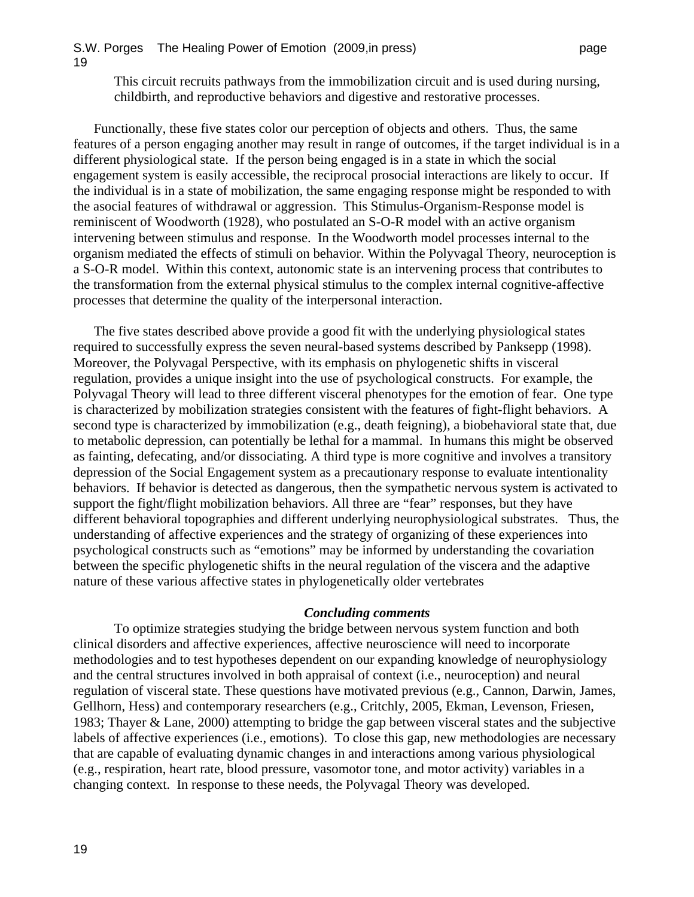This circuit recruits pathways from the immobilization circuit and is used during nursing, childbirth, and reproductive behaviors and digestive and restorative processes.

Functionally, these five states color our perception of objects and others. Thus, the same features of a person engaging another may result in range of outcomes, if the target individual is in a different physiological state. If the person being engaged is in a state in which the social engagement system is easily accessible, the reciprocal prosocial interactions are likely to occur. If the individual is in a state of mobilization, the same engaging response might be responded to with the asocial features of withdrawal or aggression. This Stimulus-Organism-Response model is reminiscent of Woodworth (1928), who postulated an S-O-R model with an active organism intervening between stimulus and response. In the Woodworth model processes internal to the organism mediated the effects of stimuli on behavior. Within the Polyvagal Theory, neuroception is a S-O-R model. Within this context, autonomic state is an intervening process that contributes to the transformation from the external physical stimulus to the complex internal cognitive-affective processes that determine the quality of the interpersonal interaction.

The five states described above provide a good fit with the underlying physiological states required to successfully express the seven neural-based systems described by Panksepp (1998). Moreover, the Polyvagal Perspective, with its emphasis on phylogenetic shifts in visceral regulation, provides a unique insight into the use of psychological constructs. For example, the Polyvagal Theory will lead to three different visceral phenotypes for the emotion of fear. One type is characterized by mobilization strategies consistent with the features of fight-flight behaviors. A second type is characterized by immobilization (e.g., death feigning), a biobehavioral state that, due to metabolic depression, can potentially be lethal for a mammal. In humans this might be observed as fainting, defecating, and/or dissociating. A third type is more cognitive and involves a transitory depression of the Social Engagement system as a precautionary response to evaluate intentionality behaviors. If behavior is detected as dangerous, then the sympathetic nervous system is activated to support the fight/flight mobilization behaviors. All three are "fear" responses, but they have different behavioral topographies and different underlying neurophysiological substrates. Thus, the understanding of affective experiences and the strategy of organizing of these experiences into psychological constructs such as "emotions" may be informed by understanding the covariation between the specific phylogenetic shifts in the neural regulation of the viscera and the adaptive nature of these various affective states in phylogenetically older vertebrates

# *Concluding comments*

To optimize strategies studying the bridge between nervous system function and both clinical disorders and affective experiences, affective neuroscience will need to incorporate methodologies and to test hypotheses dependent on our expanding knowledge of neurophysiology and the central structures involved in both appraisal of context (i.e., neuroception) and neural regulation of visceral state. These questions have motivated previous (e.g., Cannon, Darwin, James, Gellhorn, Hess) and contemporary researchers (e.g., Critchly, 2005, Ekman, Levenson, Friesen, 1983; Thayer & Lane, 2000) attempting to bridge the gap between visceral states and the subjective labels of affective experiences (i.e., emotions). To close this gap, new methodologies are necessary that are capable of evaluating dynamic changes in and interactions among various physiological (e.g., respiration, heart rate, blood pressure, vasomotor tone, and motor activity) variables in a changing context. In response to these needs, the Polyvagal Theory was developed.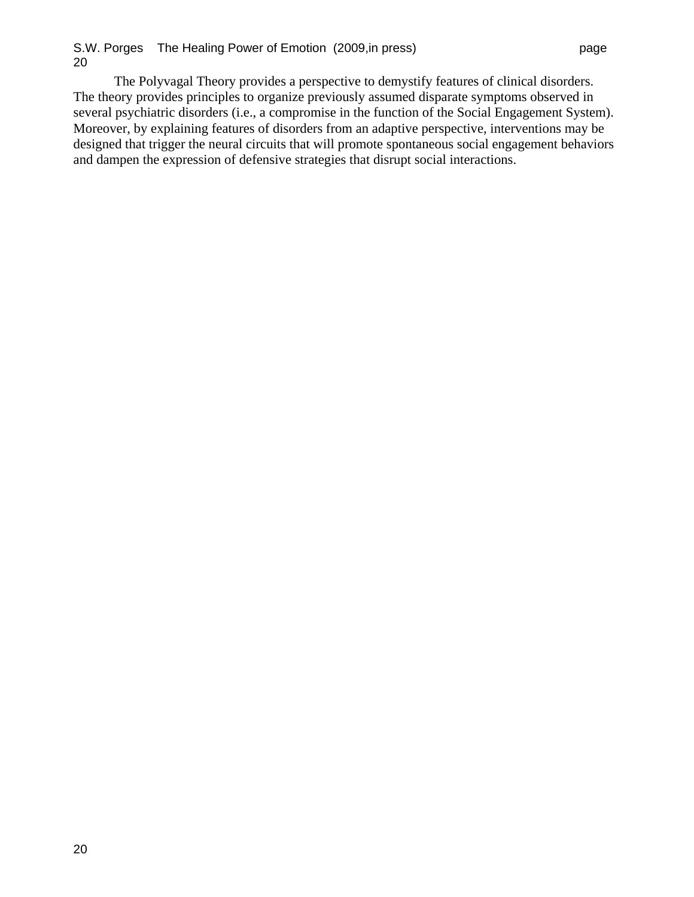The Polyvagal Theory provides a perspective to demystify features of clinical disorders. The theory provides principles to organize previously assumed disparate symptoms observed in several psychiatric disorders (i.e., a compromise in the function of the Social Engagement System). Moreover, by explaining features of disorders from an adaptive perspective, interventions may be designed that trigger the neural circuits that will promote spontaneous social engagement behaviors and dampen the expression of defensive strategies that disrupt social interactions.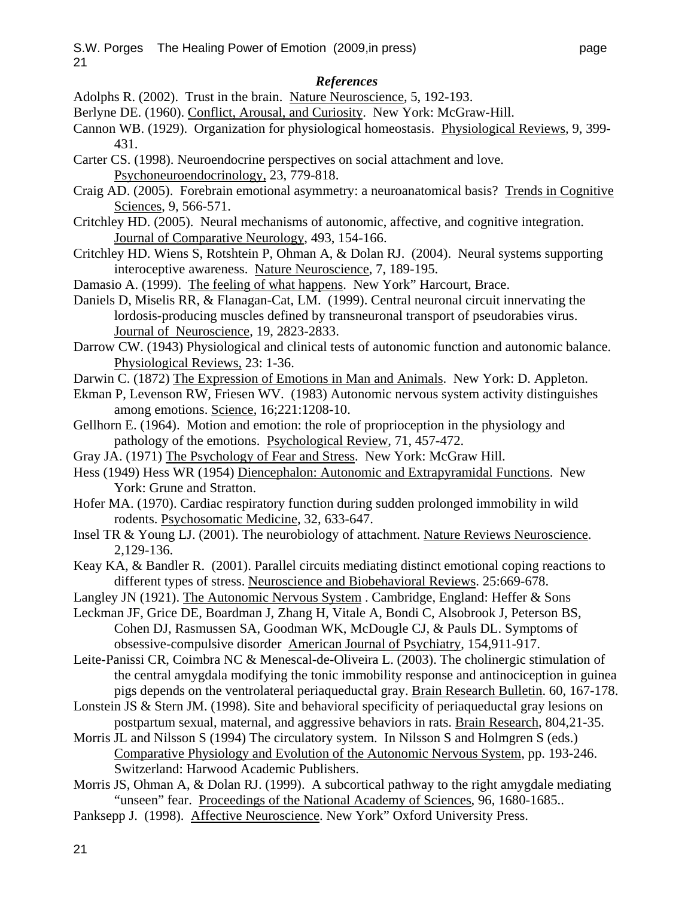# *References*

Adolphs R. (2002). Trust in the brain. Nature Neuroscience, 5, 192-193.

- Berlyne DE. (1960). Conflict, Arousal, and Curiosity. New York: McGraw-Hill.
- Cannon WB. (1929). Organization for physiological homeostasis. Physiological Reviews*,* 9, 399- 431.
- Carter CS. (1998). Neuroendocrine perspectives on social attachment and love. Psychoneuroendocrinology, 23, 779-818.
- Craig AD. (2005). Forebrain emotional asymmetry: a neuroanatomical basis? Trends in Cognitive Sciences, 9, 566-571.
- Critchley HD. (2005). Neural mechanisms of autonomic, affective, and cognitive integration. Journal of Comparative Neurology, 493, 154-166.
- Critchley HD. Wiens S, Rotshtein P, Ohman A, & Dolan RJ. (2004). Neural systems supporting interoceptive awareness. Nature Neuroscience, 7, 189-195.
- Damasio A. (1999). The feeling of what happens. New York" Harcourt, Brace.
- Daniels D, Miselis RR, & Flanagan-Cat, LM. (1999). Central neuronal circuit innervating the lordosis-producing muscles defined by transneuronal transport of pseudorabies virus. Journal of Neuroscience, 19, 2823-2833.
- Darrow CW. (1943) Physiological and clinical tests of autonomic function and autonomic balance. Physiological Reviews, 23: 1-36.
- Darwin C. (1872) The Expression of Emotions in Man and Animals. New York: D. Appleton.
- Ekman P, Levenson RW, Friesen WV. (1983) Autonomic nervous system activity distinguishes among emotions. Science, 16;221:1208-10.
- Gellhorn E. (1964). Motion and emotion: the role of proprioception in the physiology and pathology of the emotions. Psychological Review, 71, 457-472.
- Gray JA. (1971) The Psychology of Fear and Stress. New York: McGraw Hill.
- Hess (1949) Hess WR (1954) Diencephalon: Autonomic and Extrapyramidal Functions. New York: Grune and Stratton.
- Hofer MA. (1970). Cardiac respiratory function during sudden prolonged immobility in wild rodents. Psychosomatic Medicine, 32, 633-647.
- Insel TR & Young LJ. (2001). The neurobiology of attachment. Nature Reviews Neuroscience. 2,129-136.
- Keay KA, & Bandler R. (2001). Parallel circuits mediating distinct emotional coping reactions to different types of stress. Neuroscience and Biobehavioral Reviews. 25:669-678.
- Langley JN (1921). The Autonomic Nervous System . Cambridge, England: Heffer & Sons
- Leckman JF, Grice DE, Boardman J, Zhang H, Vitale A, Bondi C, Alsobrook J, Peterson BS, Cohen DJ, Rasmussen SA, Goodman WK, McDougle CJ, & Pauls DL. Symptoms of obsessive-compulsive disorder American Journal of Psychiatry, 154,911-917.
- Leite-Panissi CR, Coimbra NC & Menescal-de-Oliveira L. (2003). The cholinergic stimulation of the central amygdala modifying the tonic immobility response and antinociception in guinea pigs depends on the ventrolateral periaqueductal gray. Brain Research Bulletin. 60, 167-178.
- Lonstein JS & Stern JM. (1998). Site and behavioral specificity of periaqueductal gray lesions on postpartum sexual, maternal, and aggressive behaviors in rats. Brain Research, 804,21-35.
- Morris JL and Nilsson S (1994) The circulatory system. In Nilsson S and Holmgren S (eds.) Comparative Physiology and Evolution of the Autonomic Nervous System, pp. 193-246. Switzerland: Harwood Academic Publishers.
- Morris JS, Ohman A, & Dolan RJ. (1999). A subcortical pathway to the right amygdale mediating "unseen" fear. Proceedings of the National Academy of Sciences, 96, 1680-1685..
- Panksepp J. (1998). Affective Neuroscience. New York" Oxford University Press.

21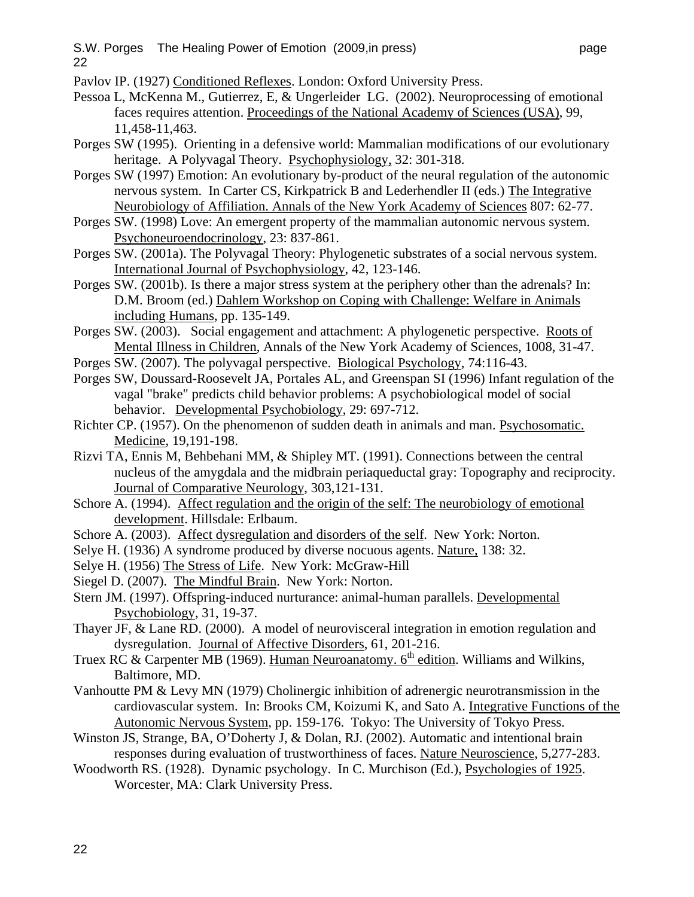Pavlov IP. (1927) Conditioned Reflexes. London: Oxford University Press.

- Pessoa L, McKenna M., Gutierrez, E, & Ungerleider LG. (2002). Neuroprocessing of emotional faces requires attention. Proceedings of the National Academy of Sciences (USA), 99, 11,458-11,463.
- Porges SW (1995). Orienting in a defensive world: Mammalian modifications of our evolutionary heritage. A Polyvagal Theory. Psychophysiology, 32: 301-318.
- Porges SW (1997) Emotion: An evolutionary by-product of the neural regulation of the autonomic nervous system. In Carter CS, Kirkpatrick B and Lederhendler II (eds.) The Integrative Neurobiology of Affiliation. Annals of the New York Academy of Sciences 807: 62-77.
- Porges SW. (1998) Love: An emergent property of the mammalian autonomic nervous system. Psychoneuroendocrinology, 23: 837-861.
- Porges SW. (2001a). The Polyvagal Theory: Phylogenetic substrates of a social nervous system. International Journal of Psychophysiology, 42, 123-146.
- Porges SW. (2001b). Is there a major stress system at the periphery other than the adrenals? In: D.M. Broom (ed.) Dahlem Workshop on Coping with Challenge: Welfare in Animals including Humans, pp. 135-149.
- Porges SW. (2003). Social engagement and attachment: A phylogenetic perspective. Roots of Mental Illness in Children, Annals of the New York Academy of Sciences, 1008, 31-47.
- Porges SW. (2007). The polyvagal perspective. Biological Psychology, 74:116-43.
- Porges SW, Doussard-Roosevelt JA, Portales AL, and Greenspan SI (1996) Infant regulation of the vagal "brake" predicts child behavior problems: A psychobiological model of social behavior. Developmental Psychobiology, 29: 697-712.
- Richter CP. (1957). On the phenomenon of sudden death in animals and man. Psychosomatic. Medicine, 19,191-198.
- Rizvi TA, Ennis M, Behbehani MM, & Shipley MT. (1991). Connections between the central nucleus of the amygdala and the midbrain periaqueductal gray: Topography and reciprocity. Journal of Comparative Neurology, 303,121-131.
- Schore A. (1994). Affect regulation and the origin of the self: The neurobiology of emotional development. Hillsdale: Erlbaum.
- Schore A. (2003). Affect dysregulation and disorders of the self. New York: Norton.
- Selye H. (1936) A syndrome produced by diverse nocuous agents. Nature, 138: 32.
- Selye H. (1956) The Stress of Life. New York: McGraw-Hill
- Siegel D. (2007). The Mindful Brain. New York: Norton.
- Stern JM. (1997). Offspring-induced nurturance: animal-human parallels. Developmental Psychobiology, 31, 19-37.
- Thayer JF, & Lane RD. (2000). A model of neurovisceral integration in emotion regulation and dysregulation. Journal of Affective Disorders, 61, 201-216.
- Truex RC & Carpenter MB (1969). Human Neuroanatomy.  $6<sup>th</sup>$  edition. Williams and Wilkins, Baltimore, MD.
- Vanhoutte PM & Levy MN (1979) Cholinergic inhibition of adrenergic neurotransmission in the cardiovascular system. In: Brooks CM, Koizumi K, and Sato A. Integrative Functions of the Autonomic Nervous System, pp. 159-176. Tokyo: The University of Tokyo Press.
- Winston JS, Strange, BA, O'Doherty J, & Dolan, RJ. (2002). Automatic and intentional brain responses during evaluation of trustworthiness of faces. Nature Neuroscience, 5,277-283.
- Woodworth RS. (1928). Dynamic psychology. In C. Murchison (Ed.), Psychologies of 1925. Worcester, MA: Clark University Press.